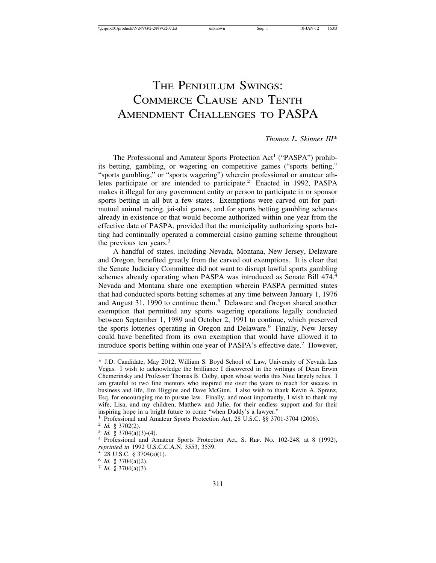# THE PENDULUM SWINGS: COMMERCE CLAUSE AND TENTH AMENDMENT CHALLENGES TO PASPA

#### *Thomas L. Skinner III*\*

The Professional and Amateur Sports Protection Act<sup>1</sup> ("PASPA") prohibits betting, gambling, or wagering on competitive games ("sports betting," "sports gambling," or "sports wagering") wherein professional or amateur athletes participate or are intended to participate.<sup>2</sup> Enacted in 1992, PASPA makes it illegal for any government entity or person to participate in or sponsor sports betting in all but a few states. Exemptions were carved out for parimutuel animal racing, jai-alai games, and for sports betting gambling schemes already in existence or that would become authorized within one year from the effective date of PASPA, provided that the municipality authorizing sports betting had continually operated a commercial casino gaming scheme throughout the previous ten years.<sup>3</sup>

A handful of states, including Nevada, Montana, New Jersey, Delaware and Oregon, benefited greatly from the carved out exemptions. It is clear that the Senate Judiciary Committee did not want to disrupt lawful sports gambling schemes already operating when PASPA was introduced as Senate Bill 474.<sup>4</sup> Nevada and Montana share one exemption wherein PASPA permitted states that had conducted sports betting schemes at any time between January 1, 1976 and August 31, 1990 to continue them.<sup>5</sup> Delaware and Oregon shared another exemption that permitted any sports wagering operations legally conducted between September 1, 1989 and October 2, 1991 to continue, which preserved the sports lotteries operating in Oregon and Delaware.<sup>6</sup> Finally, New Jersey could have benefited from its own exemption that would have allowed it to introduce sports betting within one year of PASPA's effective date.<sup>7</sup> However,

<sup>\*</sup> J.D. Candidate, May 2012, William S. Boyd School of Law, University of Nevada Las Vegas. I wish to acknowledge the brilliance I discovered in the writings of Dean Erwin Chemerinsky and Professor Thomas B. Colby, upon whose works this Note largely relies. I am grateful to two fine mentors who inspired me over the years to reach for success in business and life, Jim Higgins and Dave McGinn. I also wish to thank Kevin A. Sprenz, Esq. for encouraging me to pursue law. Finally, and most importantly, I wish to thank my wife, Lisa, and my children, Matthew and Julie, for their endless support and for their inspiring hope in a bright future to come "when Daddy's a lawyer."

<sup>1</sup> Professional and Amateur Sports Protection Act, 28 U.S.C. §§ 3701-3704 (2006).<br>
2 *Id.* § 3702(2).<br>
3 *Id.* § 3704(a)(3)-(4).<br>
4 Professional and Amateur Sports Protection Act, S. Rep. No. 102-248, at 8 (1992), *reprinted in* 1992 U.S.C.C.A.N. 3553, 3559.<br>
<sup>5</sup> 28 U.S.C. § 3704(a)(1).<br>
<sup>6</sup> *Id.* § 3704(a)(2).<br>
<sup>7</sup> *Id.* § 3704(a)(3).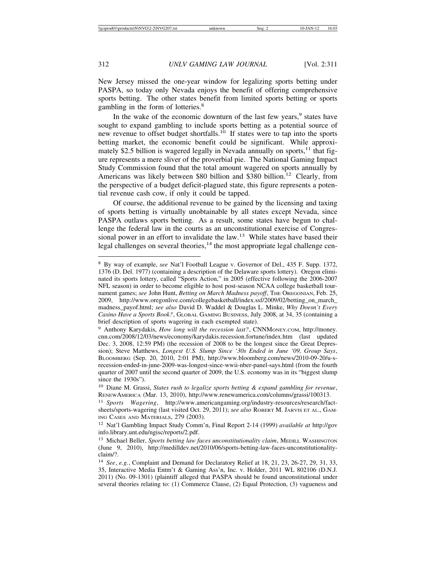New Jersey missed the one-year window for legalizing sports betting under PASPA, so today only Nevada enjoys the benefit of offering comprehensive sports betting. The other states benefit from limited sports betting or sports gambling in the form of lotteries.<sup>8</sup>

In the wake of the economic downturn of the last few years,<sup>9</sup> states have sought to expand gambling to include sports betting as a potential source of new revenue to offset budget shortfalls.<sup>10</sup> If states were to tap into the sports betting market, the economic benefit could be significant. While approximately \$2.5 billion is wagered legally in Nevada annually on sports, $^{11}$  that figure represents a mere sliver of the proverbial pie. The National Gaming Impact Study Commission found that the total amount wagered on sports annually by Americans was likely between \$80 billion and \$380 billion.<sup>12</sup> Clearly, from the perspective of a budget deficit-plagued state, this figure represents a potential revenue cash cow, if only it could be tapped.

Of course, the additional revenue to be gained by the licensing and taxing of sports betting is virtually unobtainable by all states except Nevada, since PASPA outlaws sports betting. As a result, some states have begun to challenge the federal law in the courts as an unconstitutional exercise of Congressional power in an effort to invalidate the law.<sup>13</sup> While states have based their legal challenges on several theories, $14$  the most appropriate legal challenge cen-

<sup>8</sup> By way of example, *see* Nat'l Football League v. Governor of Del., 435 F. Supp. 1372, 1376 (D. Del. 1977) (containing a description of the Delaware sports lottery). Oregon eliminated its sports lottery, called "Sports Action," in 2005 (effective following the 2006-2007 NFL season) in order to become eligible to host post-season NCAA college basketball tournament games; *see* John Hunt, *Betting on March Madness payoff*, THE OREGONIAN, Feb. 25, 2009, http://www.oregonlive.com/collegebasketball/index.ssf/2009/02/betting\_on\_march\_ madness\_payof.html; *see also* David D. Waddel & Douglas L. Minke, *Why Doesn't Every Casino Have a Sports Book?*, GLOBAL GAMING BUSINESS, July 2008, at 34, 35 (containing a brief description of sports wagering in each exempted state).

<sup>9</sup> Anthony Karydakis, *How long will the recession last?*, CNNMONEY.COM, http://money. cnn.com/2008/12/03/news/economy/karydakis.recession.fortune/index.htm (last updated Dec. 3, 2008, 12:59 PM) (the recession of 2008 to be the longest since the Great Depression); Steve Matthews, *Longest U.S. Slump Since '30s Ended in June '09, Group Says*, BLOOMBERG (Sep. 20, 2010, 2:01 PM), http://www.bloomberg.com/news/2010-09-20/u-srecession-ended-in-june-2009-was-longest-since-wwii-nber-panel-says.html (from the fourth quarter of 2007 until the second quarter of 2009, the U.S. economy was in its "biggest slump since the 1930s").

<sup>10</sup> Diane M. Grassi, *States rush to legalize sports betting & expand gambling for revenue*, RENEWAMERICA (Mar. 13, 2010), http://www.renewamerica.com/columns/grassi/100313.

<sup>11</sup> *Sports Wagering*, http://www.americangaming.org/industry-resources/research/factsheets/sports-wagering (last visited Oct. 29, 2011); *see also* ROBERT M. JARVIS ET AL., GAM-ING CASES AND MATERIALS, 279 (2003).

<sup>12</sup> Nat'l Gambling Impact Study Comm'n, Final Report 2-14 (1999) *available at* http://gov info.library.unt.edu/ngisc/reports/2.pdf.

<sup>&</sup>lt;sup>13</sup> Michael Beller, *Sports betting law faces unconstitutionality claim*, MEDILL WASHINGTON (June 9, 2010), http://medilldev.net/2010/06/sports-betting-law-faces-unconstitutionalityclaim/?.

<sup>14</sup> *See*, *e.g.*, Complaint and Demand for Declaratory Relief at 18, 21, 23, 26-27, 29, 31, 33, 35, Interactive Media Entm't & Gaming Ass'n, Inc. v. Holder, 2011 WL 802106 (D.N.J. 2011) (No. 09-1301) (plaintiff alleged that PASPA should be found unconstitutional under several theories relating to: (1) Commerce Clause, (2) Equal Protection, (3) vagueness and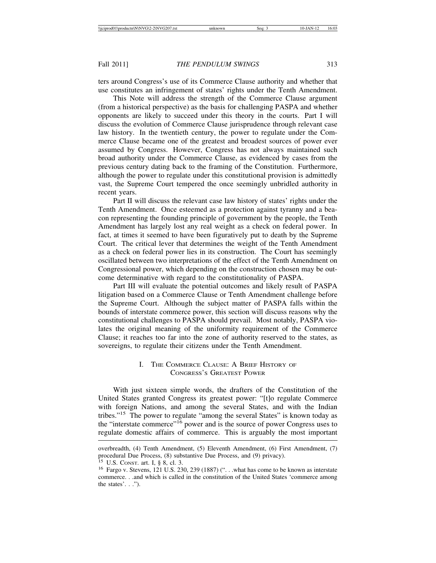ters around Congress's use of its Commerce Clause authority and whether that use constitutes an infringement of states' rights under the Tenth Amendment.

This Note will address the strength of the Commerce Clause argument (from a historical perspective) as the basis for challenging PASPA and whether opponents are likely to succeed under this theory in the courts. Part I will discuss the evolution of Commerce Clause jurisprudence through relevant case law history. In the twentieth century, the power to regulate under the Commerce Clause became one of the greatest and broadest sources of power ever assumed by Congress. However, Congress has not always maintained such broad authority under the Commerce Clause, as evidenced by cases from the previous century dating back to the framing of the Constitution. Furthermore, although the power to regulate under this constitutional provision is admittedly vast, the Supreme Court tempered the once seemingly unbridled authority in recent years.

Part II will discuss the relevant case law history of states' rights under the Tenth Amendment. Once esteemed as a protection against tyranny and a beacon representing the founding principle of government by the people, the Tenth Amendment has largely lost any real weight as a check on federal power. In fact, at times it seemed to have been figuratively put to death by the Supreme Court. The critical lever that determines the weight of the Tenth Amendment as a check on federal power lies in its construction. The Court has seemingly oscillated between two interpretations of the effect of the Tenth Amendment on Congressional power, which depending on the construction chosen may be outcome determinative with regard to the constitutionality of PASPA.

Part III will evaluate the potential outcomes and likely result of PASPA litigation based on a Commerce Clause or Tenth Amendment challenge before the Supreme Court. Although the subject matter of PASPA falls within the bounds of interstate commerce power, this section will discuss reasons why the constitutional challenges to PASPA should prevail. Most notably, PASPA violates the original meaning of the uniformity requirement of the Commerce Clause; it reaches too far into the zone of authority reserved to the states, as sovereigns, to regulate their citizens under the Tenth Amendment.

# I. THE COMMERCE CLAUSE: A BRIEF HISTORY OF CONGRESS'S GREATEST POWER

With just sixteen simple words, the drafters of the Constitution of the United States granted Congress its greatest power: "[t]o regulate Commerce with foreign Nations, and among the several States, and with the Indian tribes."15 The power to regulate "among the several States" is known today as the "interstate commerce"16 power and is the source of power Congress uses to regulate domestic affairs of commerce. This is arguably the most important

overbreadth, (4) Tenth Amendment, (5) Eleventh Amendment, (6) First Amendment, (7) procedural Due Process, (8) substantive Due Process, and (9) privacy). <sup>15</sup> U.S. CONST. art. I, § 8, cl. 3.

<sup>&</sup>lt;sup>16</sup> Fargo v. Stevens, 121 U.S. 230, 239 (1887) ("... what has come to be known as interstate commerce. . .and which is called in the constitution of the United States 'commerce among the states'. . .").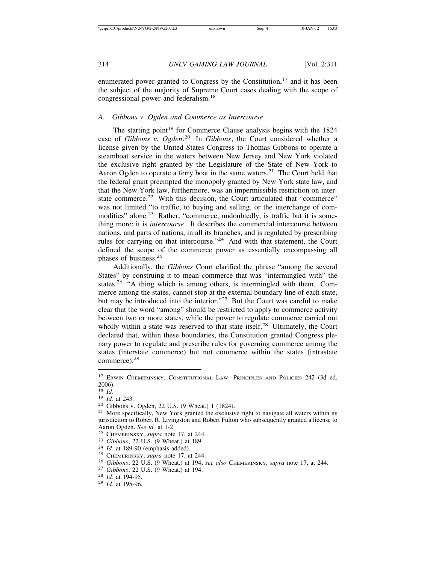enumerated power granted to Congress by the Constitution, $17$  and it has been the subject of the majority of Supreme Court cases dealing with the scope of congressional power and federalism.<sup>18</sup>

# *A. Gibbons v. Ogden and Commerce as Intercourse*

The starting point<sup>19</sup> for Commerce Clause analysis begins with the  $1824$ case of *Gibbons v. Ogden*. 20 In *Gibbons*, the Court considered whether a license given by the United States Congress to Thomas Gibbons to operate a steamboat service in the waters between New Jersey and New York violated the exclusive right granted by the Legislature of the State of New York to Aaron Ogden to operate a ferry boat in the same waters.<sup>21</sup> The Court held that the federal grant preempted the monopoly granted by New York state law, and that the New York law, furthermore, was an impermissible restriction on interstate commerce.<sup>22</sup> With this decision, the Court articulated that "commerce" was not limited "to traffic, to buying and selling, or the interchange of commodities" alone.<sup>23</sup> Rather, "commerce, undoubtedly, is traffic but it is something more: it is *intercourse*. It describes the commercial intercourse between nations, and parts of nations, in all its branches, and is regulated by prescribing rules for carrying on that intercourse."24 And with that statement, the Court defined the scope of the commerce power as essentially encompassing all phases of business.<sup>25</sup>

Additionally, the *Gibbons* Court clarified the phrase "among the several States" by construing it to mean commerce that was "intermingled with" the states.<sup>26</sup> "A thing which is among others, is intermingled with them. Commerce among the states, cannot stop at the external boundary line of each state, but may be introduced into the interior."27 But the Court was careful to make clear that the word "among" should be restricted to apply to commerce activity between two or more states, while the power to regulate commerce carried out wholly within a state was reserved to that state itself.<sup>28</sup> Ultimately, the Court declared that, within these boundaries, the Constitution granted Congress plenary power to regulate and prescribe rules for governing commerce among the states (interstate commerce) but not commerce within the states (intrastate commerce).<sup>29</sup>

<sup>17</sup> ERWIN CHEMERINSKY, CONSTITUTIONAL LAW: PRINCIPLES AND POLICIES 242 (3d ed.  $\frac{2006}{18}$ .

<sup>&</sup>lt;sup>19</sup> *Id.* at 243.<br><sup>20</sup> Gibbons v. Ogden, 22 U.S. (9 Wheat.) 1 (1824).<br><sup>21</sup> More specifically, New York granted the exclusive right to navigate all waters within its jurisdiction to Robert R. Livingston and Robert Fulton who subsequently granted a license to Aaron Ogden. *See id.* at 1-2.<br>
<sup>22</sup> CHEMERINSKY, *supra* note 17, at 244.<br>
<sup>23</sup> Gibbons, 22 U.S. (9 Wheat.) at 189.<br>
<sup>24</sup> Id. at 189-90 (emphasis added).<br>
<sup>25</sup> CHEMERINSKY, *supra* note 17, at 244.<br>
<sup>26</sup> Gibbons, 22 U.S.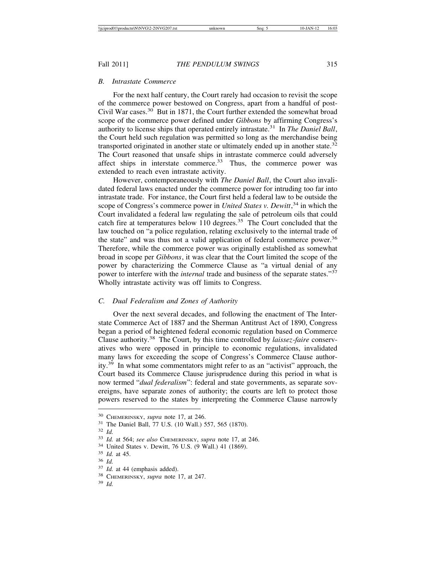#### *B. Intrastate Commerce*

For the next half century, the Court rarely had occasion to revisit the scope of the commerce power bestowed on Congress, apart from a handful of post-Civil War cases.30 But in 1871, the Court further extended the somewhat broad scope of the commerce power defined under *Gibbons* by affirming Congress's authority to license ships that operated entirely intrastate.31 In *The Daniel Ball*, the Court held such regulation was permitted so long as the merchandise being transported originated in another state or ultimately ended up in another state.<sup>32</sup> The Court reasoned that unsafe ships in intrastate commerce could adversely affect ships in interstate commerce.<sup>33</sup> Thus, the commerce power was extended to reach even intrastate activity.

However, contemporaneously with *The Daniel Ball*, the Court also invalidated federal laws enacted under the commerce power for intruding too far into intrastate trade. For instance, the Court first held a federal law to be outside the scope of Congress's commerce power in *United States v. Dewitt*, 34 in which the Court invalidated a federal law regulating the sale of petroleum oils that could catch fire at temperatures below  $110$  degrees.<sup>35</sup> The Court concluded that the law touched on "a police regulation, relating exclusively to the internal trade of the state" and was thus not a valid application of federal commerce power.<sup>36</sup> Therefore, while the commerce power was originally established as somewhat broad in scope per *Gibbons*, it was clear that the Court limited the scope of the power by characterizing the Commerce Clause as "a virtual denial of any power to interfere with the *internal* trade and business of the separate states."<sup>37</sup> Wholly intrastate activity was off limits to Congress.

# *C. Dual Federalism and Zones of Authority*

Over the next several decades, and following the enactment of The Interstate Commerce Act of 1887 and the Sherman Antitrust Act of 1890, Congress began a period of heightened federal economic regulation based on Commerce Clause authority.38 The Court, by this time controlled by *laissez*-*faire* conservatives who were opposed in principle to economic regulations, invalidated many laws for exceeding the scope of Congress's Commerce Clause authority.39 In what some commentators might refer to as an "activist" approach, the Court based its Commerce Clause jurisprudence during this period in what is now termed "*dual federalism*": federal and state governments, as separate sovereigns, have separate zones of authority; the courts are left to protect those powers reserved to the states by interpreting the Commerce Clause narrowly

<sup>30</sup> CHEMERINSKY, *supra* note 17, at 246.

<sup>31</sup> The Daniel Ball, 77 U.S. (10 Wall.) 557, 565 (1870).

<sup>32</sup> *Id.*

<sup>33</sup> *Id.* at 564; *see also* CHEMERINSKY, *supra* note 17, at 246.

<sup>34</sup> United States v. Dewitt, 76 U.S. (9 Wall.) 41 (1869).

<sup>35</sup> *Id.* at 45.

<sup>36</sup> *Id.*

<sup>&</sup>lt;sup>37</sup> *Id.* at 44 (emphasis added).

<sup>38</sup> CHEMERINSKY, *supra* note 17, at 247.

<sup>39</sup> *Id.*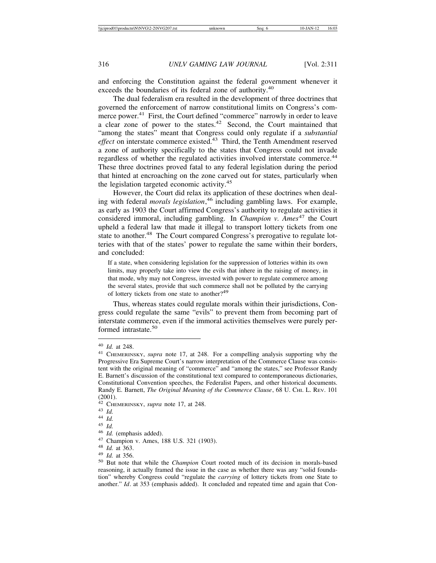and enforcing the Constitution against the federal government whenever it exceeds the boundaries of its federal zone of authority.<sup>40</sup>

The dual federalism era resulted in the development of three doctrines that governed the enforcement of narrow constitutional limits on Congress's commerce power.<sup>41</sup> First, the Court defined "commerce" narrowly in order to leave a clear zone of power to the states.<sup>42</sup> Second, the Court maintained that "among the states" meant that Congress could only regulate if a *substantial effect* on interstate commerce existed.<sup>43</sup> Third, the Tenth Amendment reserved a zone of authority specifically to the states that Congress could not invade regardless of whether the regulated activities involved interstate commerce.<sup>44</sup> These three doctrines proved fatal to any federal legislation during the period that hinted at encroaching on the zone carved out for states, particularly when the legislation targeted economic activity.<sup>45</sup>

However, the Court did relax its application of these doctrines when dealing with federal *morals legislation*, 46 including gambling laws. For example, as early as 1903 the Court affirmed Congress's authority to regulate activities it considered immoral, including gambling. In *Champion v. Ames*<sup>47</sup> the Court upheld a federal law that made it illegal to transport lottery tickets from one state to another.<sup>48</sup> The Court compared Congress's prerogative to regulate lotteries with that of the states' power to regulate the same within their borders, and concluded:

If a state, when considering legislation for the suppression of lotteries within its own limits, may properly take into view the evils that inhere in the raising of money, in that mode, why may not Congress, invested with power to regulate commerce among the several states, provide that such commerce shall not be polluted by the carrying of lottery tickets from one state to another?<sup>49</sup>

Thus, whereas states could regulate morals within their jurisdictions, Congress could regulate the same "evils" to prevent them from becoming part of interstate commerce, even if the immoral activities themselves were purely performed intrastate.<sup>50</sup>

<sup>&</sup>lt;sup>40</sup> *Id.* at 248.<br><sup>41</sup> CHEMERINSKY, *supra* note 17, at 248. For a compelling analysis supporting why the Progressive Era Supreme Court's narrow interpretation of the Commerce Clause was consistent with the original meaning of "commerce" and "among the states," see Professor Randy E. Barnett's discussion of the constitutional text compared to contemporaneous dictionaries, Constitutional Convention speeches, the Federalist Papers, and other historical documents. Randy E. Barnett, *The Original Meaning of the Commerce Clause*, 68 U. CHI. L. REV. 101 (2001).  $42$  CHEMERINSKY, *supra* note 17, at 248.

<sup>&</sup>lt;sup>43</sup> *Id.*<br>
<sup>44</sup> *Id.*<br>
<sup>45</sup> *Id.*<br>
<sup>46</sup> *Id.* (emphasis added).<br>
<sup>47</sup> Champion v. Ames, 188 U.S. 321 (1903).<br>
<sup>48</sup> *Id.* at 363.<br>
<sup>49</sup> *Id.* at 356.<br>
<sup>50</sup> But note that while the *Champion* Court rooted much of its decis reasoning, it actually framed the issue in the case as whether there was any "solid foundation" whereby Congress could "regulate the *carrying* of lottery tickets from one State to another." *Id*. at 353 (emphasis added). It concluded and repeated time and again that Con-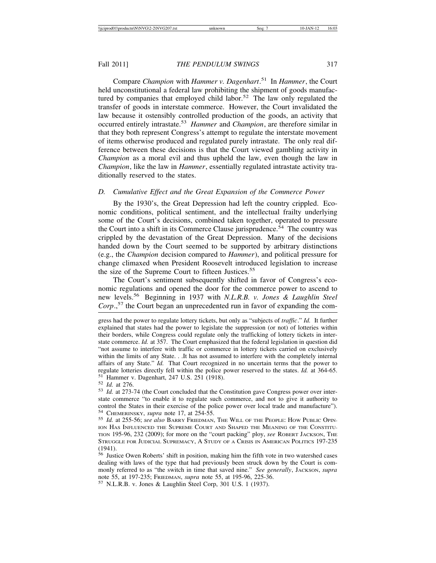Compare *Champion* with *Hammer v. Dagenhart*. 51 In *Hammer*, the Court held unconstitutional a federal law prohibiting the shipment of goods manufactured by companies that employed child labor.<sup>52</sup> The law only regulated the transfer of goods in interstate commerce. However, the Court invalidated the law because it ostensibly controlled production of the goods, an activity that occurred entirely intrastate.<sup>53</sup> *Hammer* and *Champion*, are therefore similar in that they both represent Congress's attempt to regulate the interstate movement of items otherwise produced and regulated purely intrastate. The only real difference between these decisions is that the Court viewed gambling activity in *Champion* as a moral evil and thus upheld the law, even though the law in *Champion*, like the law in *Hammer*, essentially regulated intrastate activity traditionally reserved to the states.

# *D. Cumulative Effect and the Great Expansion of the Commerce Power*

By the 1930's, the Great Depression had left the country crippled. Economic conditions, political sentiment, and the intellectual frailty underlying some of the Court's decisions, combined taken together, operated to pressure the Court into a shift in its Commerce Clause jurisprudence.<sup> $54$ </sup> The country was crippled by the devastation of the Great Depression. Many of the decisions handed down by the Court seemed to be supported by arbitrary distinctions (e.g., the *Champion* decision compared to *Hammer*), and political pressure for change climaxed when President Roosevelt introduced legislation to increase the size of the Supreme Court to fifteen Justices.<sup>55</sup>

The Court's sentiment subsequently shifted in favor of Congress's economic regulations and opened the door for the commerce power to ascend to new levels.56 Beginning in 1937 with *N.L.R.B. v. Jones & Laughlin Steel Corp*.,57 the Court began an unprecedented run in favor of expanding the com-

ION HAS INFLUENCED THE SUPREME COURT AND SHAPED THE MEANING OF THE CONSTITU-TION 195-96, 232 (2009); for more on the "court packing" ploy, *see* ROBERT JACKSON, THE STRUGGLE FOR JUDICIAL SUPREMACY, A STUDY OF A CRISIS IN AMERICAN POLITICS 197-235 (1941).

<sup>57</sup> N.L.R.B. v. Jones & Laughlin Steel Corp, 301 U.S. 1 (1937).

gress had the power to regulate lottery tickets, but only as "subjects of *traffic*." *Id.* It further explained that states had the power to legislate the suppression (or not) of lotteries within their borders, while Congress could regulate only the trafficking of lottery tickets in interstate commerce. *Id.* at 357. The Court emphasized that the federal legislation in question did "not assume to interfere with traffic or commerce in lottery tickets carried on exclusively within the limits of any State. . .It has not assumed to interfere with the completely internal affairs of any State." *Id.* That Court recognized in no uncertain terms that the power to regulate lotteries directly fell within the police power reserved to the states. *Id.* at 364-65.<br><sup>51</sup> Hammer v. Dagenhart, 247 U.S. 251 (1918).<br><sup>52</sup> *Id.* at 276.<br><sup>53</sup> *Id.* at 273-74 (the Court concluded that the Constit

state commerce "to enable it to regulate such commerce, and not to give it authority to control the States in their exercise of the police power over local trade and manufacture"). <sup>54</sup> CHEMERINSKY, *supra* note 17, at 254-55.<br><sup>55</sup> *Id.* at 255-56; *see also* BARRY FRIEDMAN, THE WILL OF THE PEOPLE: HOW PUBLIC OPIN-

<sup>56</sup> Justice Owen Roberts' shift in position, making him the fifth vote in two watershed cases dealing with laws of the type that had previously been struck down by the Court is commonly referred to as "the switch in time that saved nine." *See generally*, JACKSON, *supra* note 55, at 197-235; FRIEDMAN, *supra* note 55, at 195-96, 225-36.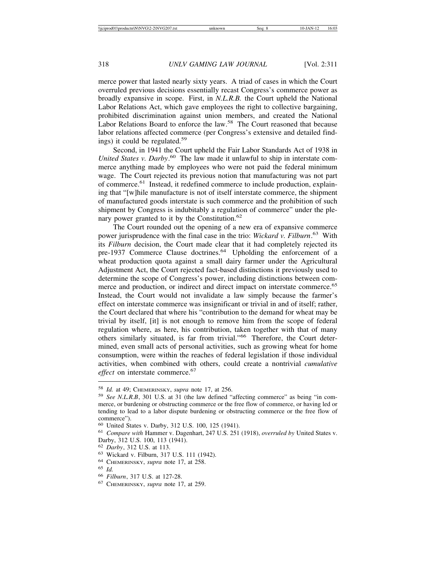merce power that lasted nearly sixty years. A triad of cases in which the Court overruled previous decisions essentially recast Congress's commerce power as broadly expansive in scope. First, in *N.L.R.B.* the Court upheld the National Labor Relations Act, which gave employees the right to collective bargaining, prohibited discrimination against union members, and created the National Labor Relations Board to enforce the law.<sup>58</sup> The Court reasoned that because labor relations affected commerce (per Congress's extensive and detailed findings) it could be regulated.<sup>59</sup>

Second, in 1941 the Court upheld the Fair Labor Standards Act of 1938 in *United States v. Darby*. 60 The law made it unlawful to ship in interstate commerce anything made by employees who were not paid the federal minimum wage. The Court rejected its previous notion that manufacturing was not part of commerce.61 Instead, it redefined commerce to include production, explaining that "[w]hile manufacture is not of itself interstate commerce, the shipment of manufactured goods interstate is such commerce and the prohibition of such shipment by Congress is indubitably a regulation of commerce" under the plenary power granted to it by the Constitution.<sup>62</sup>

The Court rounded out the opening of a new era of expansive commerce power jurisprudence with the final case in the trio: *Wickard v. Filburn*. 63 With its *Filburn* decision, the Court made clear that it had completely rejected its pre-1937 Commerce Clause doctrines.<sup>64</sup> Upholding the enforcement of a wheat production quota against a small dairy farmer under the Agricultural Adjustment Act, the Court rejected fact-based distinctions it previously used to determine the scope of Congress's power, including distinctions between commerce and production, or indirect and direct impact on interstate commerce.<sup>65</sup> Instead, the Court would not invalidate a law simply because the farmer's effect on interstate commerce was insignificant or trivial in and of itself; rather, the Court declared that where his "contribution to the demand for wheat may be trivial by itself, [it] is not enough to remove him from the scope of federal regulation where, as here, his contribution, taken together with that of many others similarly situated, is far from trivial."66 Therefore, the Court determined, even small acts of personal activities, such as growing wheat for home consumption, were within the reaches of federal legislation if those individual activities, when combined with others, could create a nontrivial *cumulative effect* on interstate commerce.<sup>67</sup>

<sup>58</sup> *Id.* at 49; CHEMERINSKY, *supra* note 17, at 256. <sup>59</sup> *See N.L.R.B*, 301 U.S. at 31 (the law defined "affecting commerce" as being "in commerce, or burdening or obstructing commerce or the free flow of commerce, or having led or tending to lead to a labor dispute burdening or obstructing commerce or the free flow of commerce").<br><sup>60</sup> United States v. Darby, 312 U.S. 100, 125 (1941).

<sup>&</sup>lt;sup>61</sup> Compare with Hammer v. Dagenhart, 247 U.S. 251 (1918), *overruled by United States v.* Darby, 312 U.S. 100, 113 (1941).<br><sup>62</sup> *Darby*, 312 U.S. at 113.

<sup>&</sup>lt;sup>63</sup> Wickard v. Filburn, 317 U.S. 111 (1942).<br><sup>64</sup> CHEMERINSKY, *supra* note 17, at 258.<br><sup>65</sup> *Id.* 66 *Filburn*, 317 U.S. at 127-28.<br><sup>67</sup> CHEMERINSKY, *supra* note 17, at 259.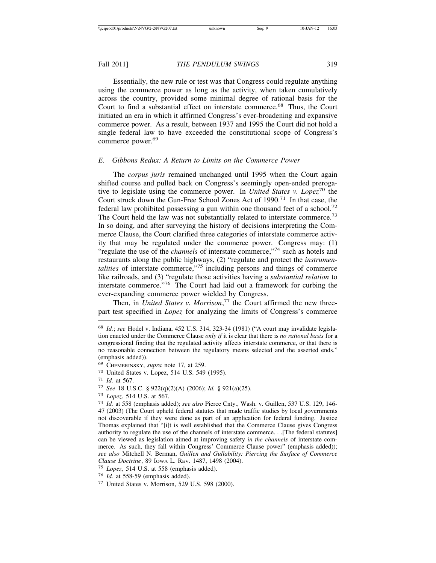Essentially, the new rule or test was that Congress could regulate anything using the commerce power as long as the activity, when taken cumulatively across the country, provided some minimal degree of rational basis for the Court to find a substantial effect on interstate commerce.<sup>68</sup> Thus, the Court initiated an era in which it affirmed Congress's ever-broadening and expansive commerce power. As a result, between 1937 and 1995 the Court did not hold a single federal law to have exceeded the constitutional scope of Congress's commerce power.<sup>69</sup>

#### *E. Gibbons Redux: A Return to Limits on the Commerce Power*

The *corpus juris* remained unchanged until 1995 when the Court again shifted course and pulled back on Congress's seemingly open-ended prerogative to legislate using the commerce power. In *United States v. Lopez*70 the Court struck down the Gun-Free School Zones Act of 1990.<sup>71</sup> In that case, the federal law prohibited possessing a gun within one thousand feet of a school.<sup>72</sup> The Court held the law was not substantially related to interstate commerce.<sup>73</sup> In so doing, and after surveying the history of decisions interpreting the Commerce Clause, the Court clarified three categories of interstate commerce activity that may be regulated under the commerce power. Congress may: (1) "regulate the use of the *channels* of interstate commerce,"<sup>74</sup> such as hotels and restaurants along the public highways, (2) "regulate and protect the *instrumentalities* of interstate commerce,"<sup>75</sup> including persons and things of commerce like railroads, and (3) "regulate those activities having a *substantial relation* to interstate commerce."76 The Court had laid out a framework for curbing the ever-expanding commerce power wielded by Congress.

Then, in *United States v. Morrison*, 77 the Court affirmed the new threepart test specified in *Lopez* for analyzing the limits of Congress's commerce

<sup>70</sup> United States v. Lopez, 514 U.S. 549 (1995).

- <sup>72</sup> *See* 18 U.S.C. § 922(q)(2)(A) (2006); *Id.* § 921(a)(25).
- <sup>73</sup> *Lopez*, 514 U.S. at 567.

<sup>68</sup> *Id.*; *see* Hodel v. Indiana, 452 U.S. 314, 323-34 (1981) ("A court may invalidate legislation enacted under the Commerce Clause *only if* it is clear that there is *no rational basis* for a congressional finding that the regulated activity affects interstate commerce, or that there is no reasonable connection between the regulatory means selected and the asserted ends." (emphasis added)).

<sup>69</sup> CHEMERINSKY, *supra* note 17, at 259.

<sup>71</sup> *Id.* at 567.

<sup>74</sup> *Id.* at 558 (emphasis added); *see also* Pierce Cnty., Wash. v. Guillen, 537 U.S. 129, 146- 47 (2003) (The Court upheld federal statutes that made traffic studies by local governments not discoverable if they were done as part of an application for federal funding. Justice Thomas explained that "[i]t is well established that the Commerce Clause gives Congress authority to regulate the use of the channels of interstate commerce. . .[The federal statutes] can be viewed as legislation aimed at improving safety *in the channels* of interstate commerce. As such, they fall within Congress' Commerce Clause power" (emphasis added)); *see also* Mitchell N. Berman, *Guillen and Gullability: Piercing the Surface of Commerce Clause Doctrine*, 89 IOWA L. REV. 1487, 1498 (2004).

<sup>75</sup> *Lopez*, 514 U.S. at 558 (emphasis added).

<sup>76</sup> *Id.* at 558-59 (emphasis added).

<sup>77</sup> United States v. Morrison, 529 U.S. 598 (2000).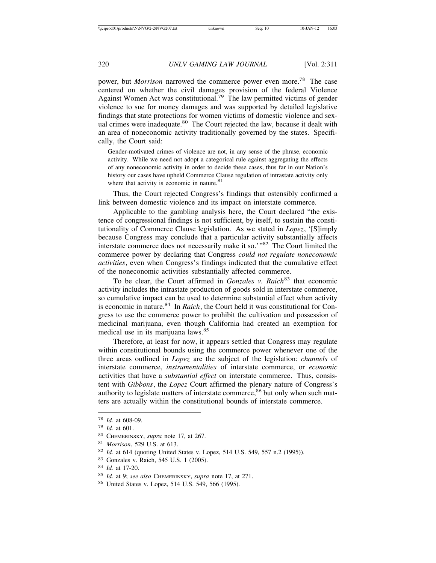power, but *Morrison* narrowed the commerce power even more.78 The case centered on whether the civil damages provision of the federal Violence Against Women Act was constitutional.<sup>79</sup> The law permitted victims of gender violence to sue for money damages and was supported by detailed legislative findings that state protections for women victims of domestic violence and sexual crimes were inadequate.<sup>80</sup> The Court rejected the law, because it dealt with an area of noneconomic activity traditionally governed by the states. Specifically, the Court said:

Gender-motivated crimes of violence are not, in any sense of the phrase, economic activity. While we need not adopt a categorical rule against aggregating the effects of any noneconomic activity in order to decide these cases, thus far in our Nation's history our cases have upheld Commerce Clause regulation of intrastate activity only where that activity is economic in nature. $81$ 

Thus, the Court rejected Congress's findings that ostensibly confirmed a link between domestic violence and its impact on interstate commerce.

Applicable to the gambling analysis here, the Court declared "the existence of congressional findings is not sufficient, by itself, to sustain the constitutionality of Commerce Clause legislation. As we stated in *Lopez*, '[S]imply because Congress may conclude that a particular activity substantially affects interstate commerce does not necessarily make it so.'"82 The Court limited the commerce power by declaring that Congress *could not regulate noneconomic activities*, even when Congress's findings indicated that the cumulative effect of the noneconomic activities substantially affected commerce.

To be clear, the Court affirmed in *Gonzales v. Raich*<sup>83</sup> that economic activity includes the intrastate production of goods sold in interstate commerce, so cumulative impact can be used to determine substantial effect when activity is economic in nature.<sup>84</sup> In *Raich*, the Court held it was constitutional for Congress to use the commerce power to prohibit the cultivation and possession of medicinal marijuana, even though California had created an exemption for medical use in its marijuana laws.<sup>85</sup>

Therefore, at least for now, it appears settled that Congress may regulate within constitutional bounds using the commerce power whenever one of the three areas outlined in *Lopez* are the subject of the legislation: *channels* of interstate commerce, *instrumentalities* of interstate commerce, or *economic* activities that have a *substantial effect* on interstate commerce. Thus, consistent with *Gibbons*, the *Lopez* Court affirmed the plenary nature of Congress's authority to legislate matters of interstate commerce,<sup>86</sup> but only when such matters are actually within the constitutional bounds of interstate commerce.

<sup>78</sup> *Id.* at 608-09.

<sup>79</sup> *Id.* at 601.

<sup>80</sup> CHEMERINSKY, *supra* note 17, at 267.

<sup>81</sup> *Morrison*, 529 U.S. at 613.

<sup>82</sup> *Id.* at 614 (quoting United States v. Lopez, 514 U.S. 549, 557 n.2 (1995)).

<sup>83</sup> Gonzales v. Raich, 545 U.S. 1 (2005).

<sup>84</sup> *Id.* at 17-20.

<sup>85</sup> *Id.* at 9; *see also* CHEMERINSKY, *supra* note 17, at 271.

<sup>86</sup> United States v. Lopez, 514 U.S. 549, 566 (1995).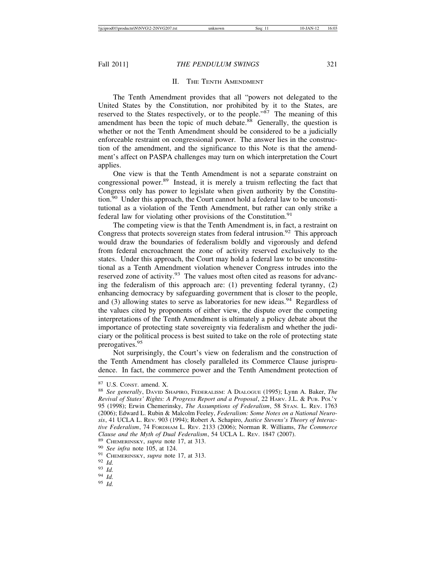# II. THE TENTH AMENDMENT

The Tenth Amendment provides that all "powers not delegated to the United States by the Constitution, nor prohibited by it to the States, are reserved to the States respectively, or to the people."<sup>87</sup> The meaning of this amendment has been the topic of much debate.<sup>88</sup> Generally, the question is whether or not the Tenth Amendment should be considered to be a judicially enforceable restraint on congressional power. The answer lies in the construction of the amendment, and the significance to this Note is that the amendment's affect on PASPA challenges may turn on which interpretation the Court applies.

One view is that the Tenth Amendment is not a separate constraint on congressional power.89 Instead, it is merely a truism reflecting the fact that Congress only has power to legislate when given authority by the Constitution.<sup>90</sup> Under this approach, the Court cannot hold a federal law to be unconstitutional as a violation of the Tenth Amendment, but rather can only strike a federal law for violating other provisions of the Constitution.<sup>91</sup>

The competing view is that the Tenth Amendment is, in fact, a restraint on Congress that protects sovereign states from federal intrusion.<sup>92</sup> This approach would draw the boundaries of federalism boldly and vigorously and defend from federal encroachment the zone of activity reserved exclusively to the states. Under this approach, the Court may hold a federal law to be unconstitutional as a Tenth Amendment violation whenever Congress intrudes into the reserved zone of activity.<sup>93</sup> The values most often cited as reasons for advancing the federalism of this approach are: (1) preventing federal tyranny, (2) enhancing democracy by safeguarding government that is closer to the people, and  $(3)$  allowing states to serve as laboratories for new ideas.<sup>94</sup> Regardless of the values cited by proponents of either view, the dispute over the competing interpretations of the Tenth Amendment is ultimately a policy debate about the importance of protecting state sovereignty via federalism and whether the judiciary or the political process is best suited to take on the role of protecting state prerogatives.<sup>95</sup>

Not surprisingly, the Court's view on federalism and the construction of the Tenth Amendment has closely paralleled its Commerce Clause jurisprudence. In fact, the commerce power and the Tenth Amendment protection of

<sup>87</sup> U.S. CONST. amend. X. <sup>88</sup> *See generally*, DAVID SHAPIRO, FEDERALISM: A DIALOGUE (1995); Lynn A. Baker, *The Revival of States' Rights: A Progress Report and a Proposal*, 22 HARV. J.L. & PUB. POL'Y 95 (1998); Erwin Chemerinsky, *The Assumptions of Federalism*, 58 STAN. L. REV. 1763 (2006); Edward L. Rubin & Malcolm Feeley, *Federalism: Some Notes on a National Neurosis*, 41 UCLA L. REV. 903 (1994); Robert A. Schapiro, *Justice Stevens's Theory of Interactive Federalism*, 74 FORDHAM L. REV. 2133 (2006); Norman R. Williams, *The Commerce* Clause and the Myth of Dual Federalism, 54 UCLA L. REV. 1847 (2007).<br>
<sup>89</sup> CHEMERINSKY, *supra* note 17, at 313.<br>
<sup>90</sup> See infra note 105, at 124.<br>
<sup>91</sup> CHEMERINSKY, *supra* note 17, at 313.<br>
<sup>92</sup> Id.<br>
<sup>93</sup> Id.<br>
<sup>93</sup> Id.<br>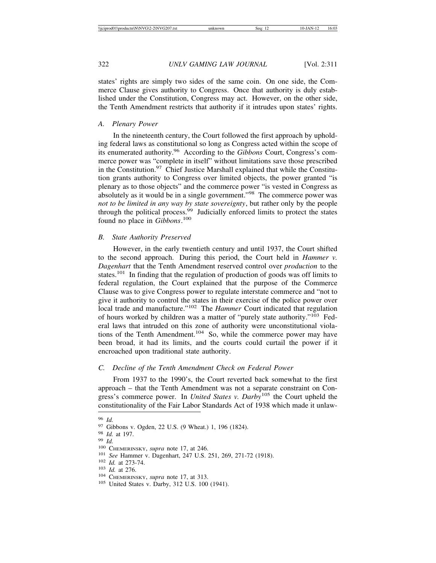states' rights are simply two sides of the same coin. On one side, the Commerce Clause gives authority to Congress. Once that authority is duly established under the Constitution, Congress may act. However, on the other side, the Tenth Amendment restricts that authority if it intrudes upon states' rights.

# *A. Plenary Power*

In the nineteenth century, the Court followed the first approach by upholding federal laws as constitutional so long as Congress acted within the scope of its enumerated authority.96 According to the *Gibbons* Court, Congress's commerce power was "complete in itself" without limitations save those prescribed in the Constitution. $97$  Chief Justice Marshall explained that while the Constitution grants authority to Congress over limited objects, the power granted "is plenary as to those objects" and the commerce power "is vested in Congress as absolutely as it would be in a single government."98 The commerce power was *not to be limited in any way by state sovereignty*, but rather only by the people through the political process.<sup>99</sup> Judicially enforced limits to protect the states found no place in *Gibbons*. 100

# *B. State Authority Preserved*

However, in the early twentieth century and until 1937, the Court shifted to the second approach. During this period, the Court held in *Hammer v. Dagenhart* that the Tenth Amendment reserved control over *production* to the states.<sup>101</sup> In finding that the regulation of production of goods was off limits to federal regulation, the Court explained that the purpose of the Commerce Clause was to give Congress power to regulate interstate commerce and "not to give it authority to control the states in their exercise of the police power over local trade and manufacture."<sup>102</sup> The *Hammer* Court indicated that regulation of hours worked by children was a matter of "purely state authority."103 Federal laws that intruded on this zone of authority were unconstitutional violations of the Tenth Amendment.104 So, while the commerce power may have been broad, it had its limits, and the courts could curtail the power if it encroached upon traditional state authority.

# *C. Decline of the Tenth Amendment Check on Federal Power*

From 1937 to the 1990's, the Court reverted back somewhat to the first approach – that the Tenth Amendment was not a separate constraint on Congress's commerce power. In *United States v. Darby*105 the Court upheld the constitutionality of the Fair Labor Standards Act of 1938 which made it unlaw-

<sup>&</sup>lt;sup>96</sup> *Id.*<br><sup>97</sup> Gibbons v. Ogden, 22 U.S. (9 Wheat.) 1, 196 (1824).<br><sup>98</sup> *Id.* at 197.<br><sup>99</sup> *Id.*<br><sup>100</sup> CHEMERINSKY, *supra* note 17, at 246.<br><sup>101</sup> *See* Hammer v. Dagenhart, 247 U.S. 251, 269, 271-72 (1918).<br><sup>102</sup> *Id.* a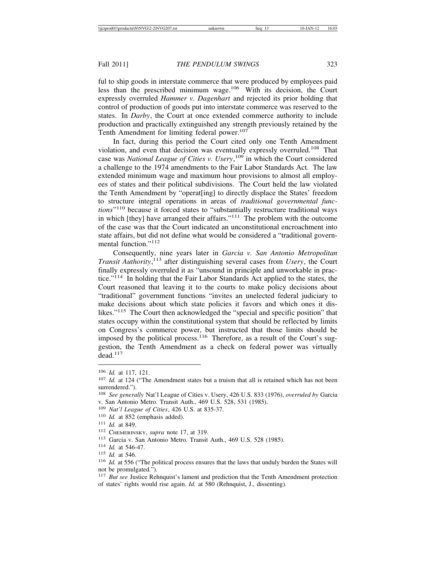ful to ship goods in interstate commerce that were produced by employees paid less than the prescribed minimum wage.106 With its decision, the Court expressly overruled *Hammer v. Dagenhart* and rejected its prior holding that control of production of goods put into interstate commerce was reserved to the states. In *Darby*, the Court at once extended commerce authority to include production and practically extinguished any strength previously retained by the Tenth Amendment for limiting federal power.<sup>107</sup>

In fact, during this period the Court cited only one Tenth Amendment violation, and even that decision was eventually expressly overruled.108 That case was *National League of Cities v. Usery*, 109 in which the Court considered a challenge to the 1974 amendments to the Fair Labor Standards Act. The law extended minimum wage and maximum hour provisions to almost all employees of states and their political subdivisions. The Court held the law violated the Tenth Amendment by "operat[ing] to directly displace the States' freedom to structure integral operations in areas of *traditional governmental functions*"110 because it forced states to "substantially restructure traditional ways in which [they] have arranged their affairs."<sup>111</sup> The problem with the outcome of the case was that the Court indicated an unconstitutional encroachment into state affairs, but did not define what would be considered a "traditional governmental function."<sup>112</sup>

Consequently, nine years later in *Garcia v. San Antonio Metropolitan Transit Authority*, 113 after distinguishing several cases from *Usery*, the Court finally expressly overruled it as "unsound in principle and unworkable in practice."114 In holding that the Fair Labor Standards Act applied to the states, the Court reasoned that leaving it to the courts to make policy decisions about "traditional" government functions "invites an unelected federal judiciary to make decisions about which state policies it favors and which ones it dislikes."115 The Court then acknowledged the "special and specific position" that states occupy within the constitutional system that should be reflected by limits on Congress's commerce power, but instructed that those limits should be imposed by the political process.<sup>116</sup> Therefore, as a result of the Court's suggestion, the Tenth Amendment as a check on federal power was virtually dead.117

<sup>106</sup> *Id.* at 117, 121.

<sup>107</sup> *Id.* at 124 ("The Amendment states but a truism that all is retained which has not been surrendered.").

<sup>108</sup> *See generally* Nat'l League of Cities v. Usery, 426 U.S. 833 (1976), *overruled by* Garcia v. San Antonio Metro. Transit Auth., 469 U.S. 528, 531 (1985).

<sup>109</sup> *Nat'l League of Cities*, 426 U.S. at 835-37.

<sup>110</sup> *Id.* at 852 (emphasis added).

<sup>111</sup> *Id.* at 849.

<sup>112</sup> CHEMERINSKY, *supra* note 17, at 319.

<sup>113</sup> Garcia v. San Antonio Metro. Transit Auth., 469 U.S. 528 (1985).

<sup>114</sup> *Id.* at 546-47.

<sup>115</sup> *Id.* at 546.

<sup>&</sup>lt;sup>116</sup> *Id.* at 556 ("The political process ensures that the laws that unduly burden the States will not be promulgated.").

<sup>117</sup> *But see* Justice Rehnquist's lament and prediction that the Tenth Amendment protection of states' rights would rise again. *Id.* at 580 (Rehnquist, J., dissenting).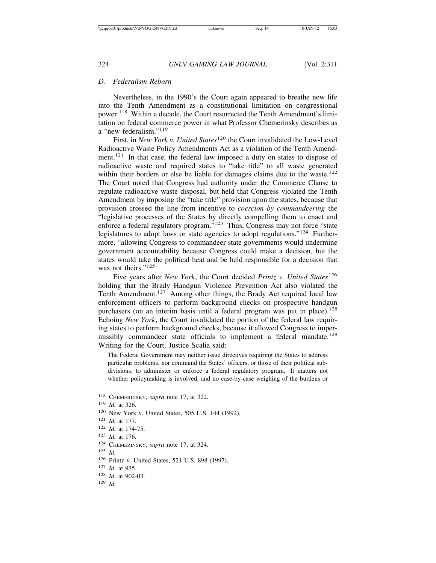# *D. Federalism Reborn*

Nevertheless, in the 1990's the Court again appeared to breathe new life into the Tenth Amendment as a constitutional limitation on congressional power.118 Within a decade, the Court resurrected the Tenth Amendment's limitation on federal commerce power in what Professor Chemerinsky describes as a "new federalism."<sup>119</sup>

First, in *New York v. United States*<sup>120</sup> the Court invalidated the Low-Level Radioactive Waste Policy Amendments Act as a violation of the Tenth Amendment.<sup>121</sup> In that case, the federal law imposed a duty on states to dispose of radioactive waste and required states to "take title" to all waste generated within their borders or else be liable for damages claims due to the waste.<sup>122</sup> The Court noted that Congress had authority under the Commerce Clause to regulate radioactive waste disposal, but held that Congress violated the Tenth Amendment by imposing the "take title" provision upon the states, because that provision crossed the line from incentive to *coercion by commandeering* the "legislative processes of the States by directly compelling them to enact and enforce a federal regulatory program."123 Thus, Congress may not force "state legislatures to adopt laws or state agencies to adopt regulations."124 Furthermore, "allowing Congress to commandeer state governments would undermine government accountability because Congress could make a decision, but the states would take the political heat and be held responsible for a decision that was not theirs."<sup>125</sup>

Five years after *New York*, the Court decided *Printz v. United States*<sup>126</sup> holding that the Brady Handgun Violence Prevention Act also violated the Tenth Amendment.127 Among other things, the Brady Act required local law enforcement officers to perform background checks on prospective handgun purchasers (on an interim basis until a federal program was put in place).<sup>128</sup> Echoing *New York*, the Court invalidated the portion of the federal law requiring states to perform background checks, because it allowed Congress to impermissibly commandeer state officials to implement a federal mandate.<sup>129</sup> Writing for the Court, Justice Scalia said:

The Federal Government may neither issue directives requiring the States to address particular problems, nor command the States' officers, or those of their political subdivisions, to administer or enforce a federal regulatory program. It matters not whether policymaking is involved, and no case-by-case weighing of the burdens or

<sup>125</sup> *Id.*

<sup>118</sup> CHEMERINSKY, *supra* note 17, at 322.

<sup>119</sup> *Id.* at 326.

<sup>120</sup> New York v. United States, 505 U.S. 144 (1992).

<sup>121</sup> *Id.* at 177.

<sup>122</sup> *Id.* at 174-75.

<sup>123</sup> *Id.* at 176.

<sup>124</sup> CHEMERINSKY, *supra* note 17, at 324.

<sup>126</sup> Printz v. United States, 521 U.S. 898 (1997).

<sup>127</sup> *Id.* at 935.

<sup>128</sup> *Id.* at 902-03.

<sup>129</sup> *Id.*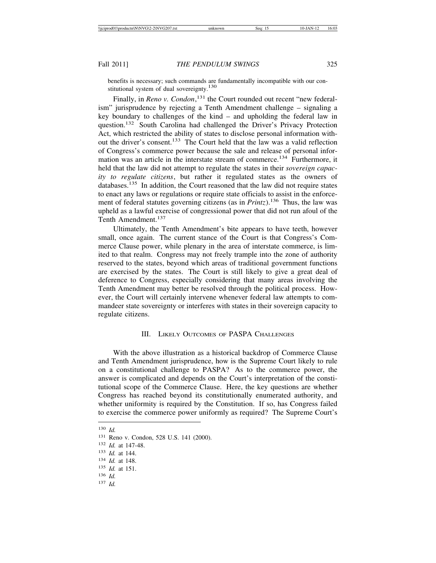benefits is necessary; such commands are fundamentally incompatible with our constitutional system of dual sovereignty.<sup>130</sup>

Finally, in *Reno v. Condon*,<sup>131</sup> the Court rounded out recent "new federalism" jurisprudence by rejecting a Tenth Amendment challenge – signaling a key boundary to challenges of the kind – and upholding the federal law in question.<sup>132</sup> South Carolina had challenged the Driver's Privacy Protection Act, which restricted the ability of states to disclose personal information without the driver's consent.133 The Court held that the law was a valid reflection of Congress's commerce power because the sale and release of personal information was an article in the interstate stream of commerce.<sup>134</sup> Furthermore, it held that the law did not attempt to regulate the states in their *sovereign capacity to regulate citizens*, but rather it regulated states as the owners of databases.135 In addition, the Court reasoned that the law did not require states to enact any laws or regulations or require state officials to assist in the enforcement of federal statutes governing citizens (as in *Printz*).136 Thus, the law was upheld as a lawful exercise of congressional power that did not run afoul of the Tenth Amendment.<sup>137</sup>

Ultimately, the Tenth Amendment's bite appears to have teeth, however small, once again. The current stance of the Court is that Congress's Commerce Clause power, while plenary in the area of interstate commerce, is limited to that realm. Congress may not freely trample into the zone of authority reserved to the states, beyond which areas of traditional government functions are exercised by the states. The Court is still likely to give a great deal of deference to Congress, especially considering that many areas involving the Tenth Amendment may better be resolved through the political process. However, the Court will certainly intervene whenever federal law attempts to commandeer state sovereignty or interferes with states in their sovereign capacity to regulate citizens.

# III. LIKELY OUTCOMES OF PASPA CHALLENGES

With the above illustration as a historical backdrop of Commerce Clause and Tenth Amendment jurisprudence, how is the Supreme Court likely to rule on a constitutional challenge to PASPA? As to the commerce power, the answer is complicated and depends on the Court's interpretation of the constitutional scope of the Commerce Clause. Here, the key questions are whether Congress has reached beyond its constitutionally enumerated authority, and whether uniformity is required by the Constitution. If so, has Congress failed to exercise the commerce power uniformly as required? The Supreme Court's

<sup>136</sup> *Id.*

<sup>130</sup> *Id.*

<sup>131</sup> Reno v. Condon, 528 U.S. 141 (2000).

<sup>132</sup> *Id.* at 147-48.

<sup>133</sup> *Id.* at 144.

<sup>134</sup> *Id.* at 148.

<sup>135</sup> *Id.* at 151.

<sup>137</sup> *Id.*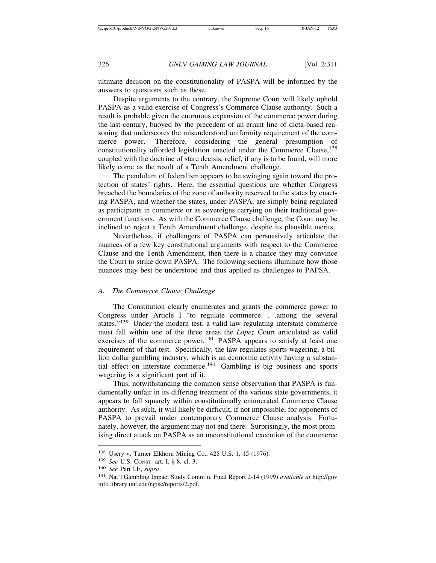ultimate decision on the constitutionality of PASPA will be informed by the answers to questions such as these.

Despite arguments to the contrary, the Supreme Court will likely uphold PASPA as a valid exercise of Congress's Commerce Clause authority. Such a result is probable given the enormous expansion of the commerce power during the last century, buoyed by the precedent of an errant line of dicta-based reasoning that underscores the misunderstood uniformity requirement of the commerce power. Therefore, considering the general presumption of constitutionality afforded legislation enacted under the Commerce Clause,<sup>138</sup> coupled with the doctrine of stare decisis, relief, if any is to be found, will more likely come as the result of a Tenth Amendment challenge.

The pendulum of federalism appears to be swinging again toward the protection of states' rights. Here, the essential questions are whether Congress breached the boundaries of the zone of authority reserved to the states by enacting PASPA, and whether the states, under PASPA, are simply being regulated as participants in commerce or as sovereigns carrying on their traditional government functions. As with the Commerce Clause challenge, the Court may be inclined to reject a Tenth Amendment challenge, despite its plausible merits.

Nevertheless, if challengers of PASPA can persuasively articulate the nuances of a few key constitutional arguments with respect to the Commerce Clause and the Tenth Amendment, then there is a chance they may convince the Court to strike down PASPA. The following sections illuminate how those nuances may best be understood and thus applied as challenges to PAPSA.

# *A. The Commerce Clause Challenge*

The Constitution clearly enumerates and grants the commerce power to Congress under Article I "to regulate commerce. . .among the several states."139 Under the modern test, a valid law regulating interstate commerce must fall within one of the three areas the *Lopez* Court articulated as valid exercises of the commerce power.<sup>140</sup> PASPA appears to satisfy at least one requirement of that test. Specifically, the law regulates sports wagering, a billion dollar gambling industry, which is an economic activity having a substantial effect on interstate commerce.<sup>141</sup> Gambling is big business and sports wagering is a significant part of it.

Thus, notwithstanding the common sense observation that PASPA is fundamentally unfair in its differing treatment of the various state governments, it appears to fall squarely within constitutionally enumerated Commerce Clause authority. As such, it will likely be difficult, if not impossible, for opponents of PASPA to prevail under contemporary Commerce Clause analysis. Fortunately, however, the argument may not end there. Surprisingly, the most promising direct attack on PASPA as an unconstitutional execution of the commerce

<sup>138</sup> Usery v. Turner Elkhorn Mining Co., 428 U.S. 1, 15 (1976).

<sup>139</sup> *See* U.S. CONST. art. I, § 8, cl. 3.

<sup>140</sup> *See* Part I.E, *supra*.

<sup>141</sup> Nat'l Gambling Impact Study Comm'n, Final Report 2-14 (1999) *available at* http://gov info.library.unt.edu/ngisc/reports/2.pdf.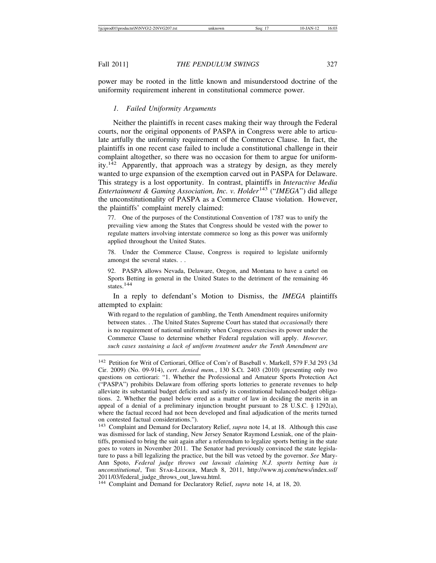power may be rooted in the little known and misunderstood doctrine of the uniformity requirement inherent in constitutional commerce power.

## *1. Failed Uniformity Arguments*

Neither the plaintiffs in recent cases making their way through the Federal courts, nor the original opponents of PASPA in Congress were able to articulate artfully the uniformity requirement of the Commerce Clause. In fact, the plaintiffs in one recent case failed to include a constitutional challenge in their complaint altogether, so there was no occasion for them to argue for uniformity.142 Apparently, that approach was a strategy by design, as they merely wanted to urge expansion of the exemption carved out in PASPA for Delaware. This strategy is a lost opportunity. In contrast, plaintiffs in *Interactive Media Entertainment & Gaming Association, Inc. v. Holder*<sup>143</sup> ("*IMEGA*") did allege the unconstitutionality of PASPA as a Commerce Clause violation. However, the plaintiffs' complaint merely claimed:

77. One of the purposes of the Constitutional Convention of 1787 was to unify the prevailing view among the States that Congress should be vested with the power to regulate matters involving interstate commerce so long as this power was uniformly applied throughout the United States.

78. Under the Commerce Clause, Congress is required to legislate uniformly amongst the several states. . .

92. PASPA allows Nevada, Delaware, Oregon, and Montana to have a cartel on Sports Betting in general in the United States to the detriment of the remaining 46 states.<sup>144</sup>

In a reply to defendant's Motion to Dismiss, the *IMEGA* plaintiffs attempted to explain:

With regard to the regulation of gambling, the Tenth Amendment requires uniformity between states. . .The United States Supreme Court has stated that *occasionally* there is no requirement of national uniformity when Congress exercises its power under the Commerce Clause to determine whether Federal regulation will apply. *However, such cases sustaining a lack of uniform treatment under the Tenth Amendment are*

<sup>142</sup> Petition for Writ of Certiorari, Office of Com'r of Baseball v. Markell, 579 F.3d 293 (3d Cir. 2009) (No. 09-914), *cert*. *denied mem.*, 130 S.Ct. 2403 (2010) (presenting only two questions on certiorari: "1. Whether the Professional and Amateur Sports Protection Act ("PASPA") prohibits Delaware from offering sports lotteries to generate revenues to help alleviate its substantial budget deficits and satisfy its constitutional balanced-budget obligations. 2. Whether the panel below erred as a matter of law in deciding the merits in an appeal of a denial of a preliminary injunction brought pursuant to  $28$  U.S.C.  $\S$  1292(a), where the factual record had not been developed and final adjudication of the merits turned on contested factual considerations.").

<sup>143</sup> Complaint and Demand for Declaratory Relief, *supra* note 14, at 18. Although this case was dismissed for lack of standing, New Jersey Senator Raymond Lesniak, one of the plaintiffs, promised to bring the suit again after a referendum to legalize sports betting in the state goes to voters in November 2011. The Senator had previously convinced the state legislature to pass a bill legalizing the practice, but the bill was vetoed by the governor. *See* Mary-Ann Spoto, *Federal judge throws out lawsuit claiming N.J. sports betting ban is unconstitutional*, THE STAR-LEDGER, March 8, 2011, http://www.nj.com/news/index.ssf/ 2011/03/federal\_judge\_throws\_out\_lawsu.html.

<sup>144</sup> Complaint and Demand for Declaratory Relief, *supra* note 14, at 18, 20.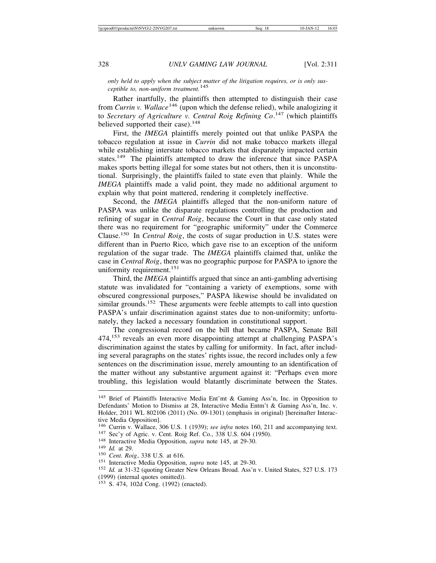*only held to apply when the subject matter of the litigation requires, or is only susceptible to, non-uniform treatment.*<sup>145</sup>

Rather inartfully, the plaintiffs then attempted to distinguish their case from *Currin v. Wallace*146 (upon which the defense relied), while analogizing it to *Secretary of Agriculture v. Central Roig Refining Co*. 147 (which plaintiffs believed supported their case).<sup>148</sup>

First, the *IMEGA* plaintiffs merely pointed out that unlike PASPA the tobacco regulation at issue in *Currin* did not make tobacco markets illegal while establishing interstate tobacco markets that disparately impacted certain states.<sup>149</sup> The plaintiffs attempted to draw the inference that since PASPA makes sports betting illegal for some states but not others, then it is unconstitutional. Surprisingly, the plaintiffs failed to state even that plainly. While the *IMEGA* plaintiffs made a valid point, they made no additional argument to explain why that point mattered, rendering it completely ineffective.

Second, the *IMEGA* plaintiffs alleged that the non-uniform nature of PASPA was unlike the disparate regulations controlling the production and refining of sugar in *Central Roig*, because the Court in that case only stated there was no requirement for "geographic uniformity" under the Commerce Clause.150 In *Central Roig*, the costs of sugar production in U.S. states were different than in Puerto Rico, which gave rise to an exception of the uniform regulation of the sugar trade. The *IMEGA* plaintiffs claimed that, unlike the case in *Central Roig*, there was no geographic purpose for PASPA to ignore the uniformity requirement.<sup>151</sup>

Third, the *IMEGA* plaintiffs argued that since an anti-gambling advertising statute was invalidated for "containing a variety of exemptions, some with obscured congressional purposes," PASPA likewise should be invalidated on similar grounds.<sup>152</sup> These arguments were feeble attempts to call into question PASPA's unfair discrimination against states due to non-uniformity; unfortunately, they lacked a necessary foundation in constitutional support.

The congressional record on the bill that became PASPA, Senate Bill 474,153 reveals an even more disappointing attempt at challenging PASPA's discrimination against the states by calling for uniformity. In fact, after including several paragraphs on the states' rights issue, the record includes only a few sentences on the discrimination issue, merely amounting to an identification of the matter without any substantive argument against it: "Perhaps even more troubling, this legislation would blatantly discriminate between the States.

<sup>145</sup> Brief of Plaintiffs Interactive Media Ent'mt & Gaming Ass'n, Inc. in Opposition to Defendants' Motion to Dismiss at 28, Interactive Media Entm't & Gaming Ass'n, Inc. v. Holder, 2011 WL 802106 (2011) (No. 09-1301) (emphasis in original) [hereinafter Interactive Media Opposition].

<sup>&</sup>lt;sup>146</sup> Currin v. Wallace, 306 U.S. 1 (1939); *see infra* notes 160, 211 and accompanying text.<br><sup>147</sup> Sec'y of Agric. v. Cent. Roig Ref. Co., 338 U.S. 604 (1950).<br><sup>148</sup> Interactive Media Opposition, *supra* note 145, at 29-

<sup>(1999) (</sup>internal quotes omitted)).

<sup>153</sup> S. 474, 102d Cong. (1992) (enacted).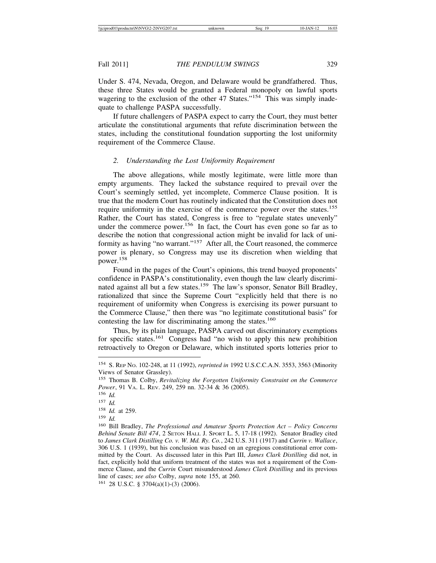Under S. 474, Nevada, Oregon, and Delaware would be grandfathered. Thus, these three States would be granted a Federal monopoly on lawful sports wagering to the exclusion of the other 47 States."<sup>154</sup> This was simply inadequate to challenge PASPA successfully.

If future challengers of PASPA expect to carry the Court, they must better articulate the constitutional arguments that refute discrimination between the states, including the constitutional foundation supporting the lost uniformity requirement of the Commerce Clause.

# *2. Understanding the Lost Uniformity Requirement*

The above allegations, while mostly legitimate, were little more than empty arguments. They lacked the substance required to prevail over the Court's seemingly settled, yet incomplete, Commerce Clause position. It is true that the modern Court has routinely indicated that the Constitution does not require uniformity in the exercise of the commerce power over the states.<sup>155</sup> Rather, the Court has stated, Congress is free to "regulate states unevenly" under the commerce power.<sup>156</sup> In fact, the Court has even gone so far as to describe the notion that congressional action might be invalid for lack of uniformity as having "no warrant."157 After all, the Court reasoned, the commerce power is plenary, so Congress may use its discretion when wielding that power.<sup>158</sup>

Found in the pages of the Court's opinions, this trend buoyed proponents' confidence in PASPA's constitutionality, even though the law clearly discriminated against all but a few states.<sup>159</sup> The law's sponsor, Senator Bill Bradley, rationalized that since the Supreme Court "explicitly held that there is no requirement of uniformity when Congress is exercising its power pursuant to the Commerce Clause," then there was "no legitimate constitutional basis" for contesting the law for discriminating among the states.<sup>160</sup>

Thus, by its plain language, PASPA carved out discriminatory exemptions for specific states.161 Congress had "no wish to apply this new prohibition retroactively to Oregon or Delaware, which instituted sports lotteries prior to

<sup>154</sup> S. REP NO. 102-248, at 11 (1992), *reprinted in* 1992 U.S.C.C.A.N. 3553, 3563 (Minority Views of Senator Grassley).

<sup>155</sup> Thomas B. Colby, *Revitalizing the Forgotten Uniformity Constraint on the Commerce Power*, 91 VA. L. REV. 249, 259 nn. 32-34 & 36 (2005).

<sup>156</sup> *Id.*

<sup>157</sup> *Id.*

<sup>158</sup> *Id.* at 259.

<sup>159</sup> *Id.*

<sup>160</sup> Bill Bradley, *The Professional and Amateur Sports Protection Act – Policy Concerns Behind Senate Bill 474*, 2 SETON HALL J. SPORT L. 5, 17-18 (1992). Senator Bradley cited to *James Clark Distilling Co. v. W. Md. Ry. Co.*, 242 U.S. 311 (1917) and *Currin v. Wallace*, 306 U.S. 1 (1939), but his conclusion was based on an egregious constitutional error committed by the Court. As discussed later in this Part III, *James Clark Distilling* did not, in fact, explicitly hold that uniform treatment of the states was not a requirement of the Commerce Clause, and the *Currin* Court misunderstood *James Clark Distilling* and its previous line of cases; *see also* Colby, *supra* note 155, at 260.

<sup>161</sup> 28 U.S.C. § 3704(a)(1)-(3) (2006).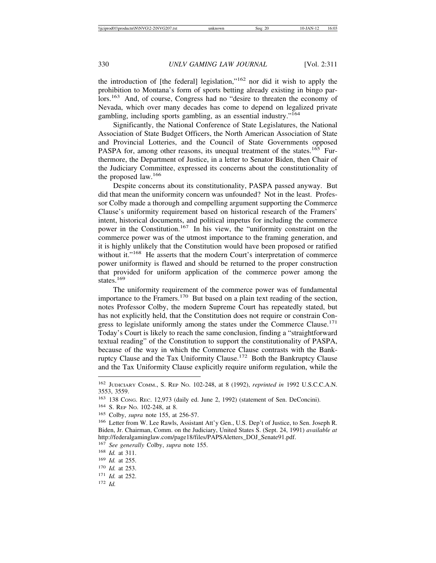the introduction of [the federal] legislation,"162 nor did it wish to apply the prohibition to Montana's form of sports betting already existing in bingo parlors.<sup>163</sup> And, of course, Congress had no "desire to threaten the economy of Nevada, which over many decades has come to depend on legalized private gambling, including sports gambling, as an essential industry."<sup>164</sup>

Significantly, the National Conference of State Legislatures, the National Association of State Budget Officers, the North American Association of State and Provincial Lotteries, and the Council of State Governments opposed PASPA for, among other reasons, its unequal treatment of the states.<sup>165</sup> Furthermore, the Department of Justice, in a letter to Senator Biden, then Chair of the Judiciary Committee, expressed its concerns about the constitutionality of the proposed law.<sup>166</sup>

Despite concerns about its constitutionality, PASPA passed anyway. But did that mean the uniformity concern was unfounded? Not in the least. Professor Colby made a thorough and compelling argument supporting the Commerce Clause's uniformity requirement based on historical research of the Framers' intent, historical documents, and political impetus for including the commerce power in the Constitution.167 In his view, the "uniformity constraint on the commerce power was of the utmost importance to the framing generation, and it is highly unlikely that the Constitution would have been proposed or ratified without it."<sup>168</sup> He asserts that the modern Court's interpretation of commerce power uniformity is flawed and should be returned to the proper construction that provided for uniform application of the commerce power among the states.<sup>169</sup>

The uniformity requirement of the commerce power was of fundamental importance to the Framers.170 But based on a plain text reading of the section, notes Professor Colby, the modern Supreme Court has repeatedly stated, but has not explicitly held, that the Constitution does not require or constrain Congress to legislate uniformly among the states under the Commerce Clause.<sup>171</sup> Today's Court is likely to reach the same conclusion, finding a "straightforward textual reading" of the Constitution to support the constitutionality of PASPA, because of the way in which the Commerce Clause contrasts with the Bankruptcy Clause and the Tax Uniformity Clause.172 Both the Bankruptcy Clause and the Tax Uniformity Clause explicitly require uniform regulation, while the

<sup>162</sup> JUDICIARY COMM., S. REP NO. 102-248, at 8 (1992), *reprinted in* 1992 U.S.C.C.A.N. 3553, 3559.

<sup>163</sup> 138 CONG. REC. 12,973 (daily ed. June 2, 1992) (statement of Sen. DeConcini).

<sup>164</sup> S. REP NO. 102-248, at 8.

<sup>165</sup> Colby, *supra* note 155, at 256-57.

<sup>166</sup> Letter from W. Lee Rawls, Assistant Att'y Gen., U.S. Dep't of Justice, to Sen. Joseph R. Biden, Jr. Chairman, Comm. on the Judiciary, United States S. (Sept. 24, 1991) *available at* http://federalgaminglaw.com/page18/files/PAPSAletters\_DOJ\_Senate91.pdf.

<sup>167</sup> *See generally* Colby, *supra* note 155.

<sup>168</sup> *Id.* at 311.

<sup>169</sup> *Id.* at 255.

<sup>170</sup> *Id.* at 253.

<sup>171</sup> *Id.* at 252.

<sup>172</sup> *Id.*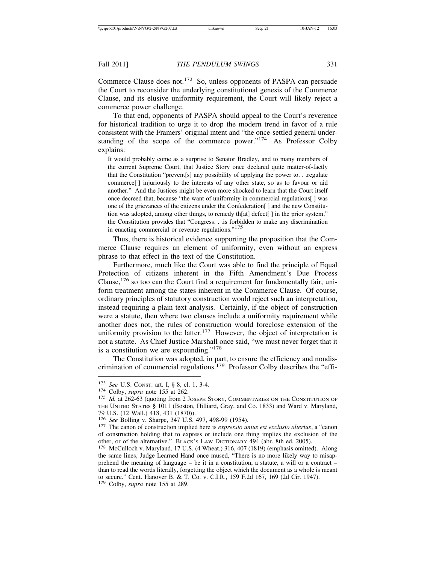Commerce Clause does not.173 So, unless opponents of PASPA can persuade the Court to reconsider the underlying constitutional genesis of the Commerce Clause, and its elusive uniformity requirement, the Court will likely reject a commerce power challenge.

To that end, opponents of PASPA should appeal to the Court's reverence for historical tradition to urge it to drop the modern trend in favor of a rule consistent with the Framers' original intent and "the once-settled general understanding of the scope of the commerce power."174 As Professor Colby explains:

It would probably come as a surprise to Senator Bradley, and to many members of the current Supreme Court, that Justice Story once declared quite matter-of-factly that the Constitution "prevent[s] any possibility of applying the power to. . .regulate commerce[ ] injuriously to the interests of any other state, so as to favour or aid another." And the Justices might be even more shocked to learn that the Court itself once decreed that, because "the want of uniformity in commercial regulations[ ] was one of the grievances of the citizens under the Confederation[ ] and the new Constitution was adopted, among other things, to remedy th[at] defect[ ] in the prior system," the Constitution provides that "Congress. . .is forbidden to make any discrimination in enacting commercial or revenue regulations."<sup>175</sup>

Thus, there is historical evidence supporting the proposition that the Commerce Clause requires an element of uniformity, even without an express phrase to that effect in the text of the Constitution.

Furthermore, much like the Court was able to find the principle of Equal Protection of citizens inherent in the Fifth Amendment's Due Process Clause,  $176$  so too can the Court find a requirement for fundamentally fair, uniform treatment among the states inherent in the Commerce Clause. Of course, ordinary principles of statutory construction would reject such an interpretation, instead requiring a plain text analysis. Certainly, if the object of construction were a statute, then where two clauses include a uniformity requirement while another does not, the rules of construction would foreclose extension of the uniformity provision to the latter.<sup>177</sup> However, the object of interpretation is not a statute. As Chief Justice Marshall once said, "we must never forget that it is a constitution we are expounding."<sup>178</sup>

The Constitution was adopted, in part, to ensure the efficiency and nondiscrimination of commercial regulations.179 Professor Colby describes the "effi-

<sup>&</sup>lt;sup>173</sup> *See* U.S. Const. art. I, § 8, cl. 1, 3-4.<br><sup>174</sup> Colby, *supra* note 155 at 262.<br><sup>175</sup> *Id.* at 262-63 (quoting from 2 JOSEPH STORY, COMMENTARIES ON THE CONSTITUTION OF THE UNITED STATES § 1011 (Boston, Hilliard, Gray, and Co. 1833) and Ward v. Maryland, 79 U.S. (12 Wall.) 418, 431 (1870)).<br><sup>176</sup> *See* Bolling v. Sharpe, 347 U.S. 497, 498-99 (1954).

<sup>&</sup>lt;sup>177</sup> The canon of construction implied here is *expressio unius est exclusio alterius*, a "canon of construction holding that to express or include one thing implies the exclusion of the other, or of the alternative." BLACK's LAW DICTIONARY 494 (abr. 8th ed. 2005).

 $178$  McCulloch v. Maryland, 17 U.S. (4 Wheat.) 316, 407 (1819) (emphasis omitted). Along the same lines, Judge Learned Hand once mused, "There is no more likely way to misapprehend the meaning of language  $-$  be it in a constitution, a statute, a will or a contract  $$ than to read the words literally, forgetting the object which the document as a whole is meant to secure." Cent. Hanover B. & T. Co. v. C.I.R., 159 F.2d 167, 169 (2d Cir. 1947).

<sup>179</sup> Colby, *supra* note 155 at 289.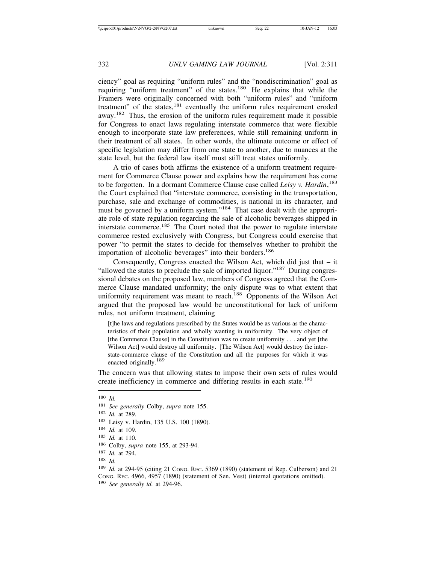ciency" goal as requiring "uniform rules" and the "nondiscrimination" goal as requiring "uniform treatment" of the states.<sup>180</sup> He explains that while the Framers were originally concerned with both "uniform rules" and "uniform treatment" of the states,<sup>181</sup> eventually the uniform rules requirement eroded away.182 Thus, the erosion of the uniform rules requirement made it possible for Congress to enact laws regulating interstate commerce that were flexible enough to incorporate state law preferences, while still remaining uniform in their treatment of all states. In other words, the ultimate outcome or effect of specific legislation may differ from one state to another, due to nuances at the state level, but the federal law itself must still treat states uniformly.

A trio of cases both affirms the existence of a uniform treatment requirement for Commerce Clause power and explains how the requirement has come to be forgotten. In a dormant Commerce Clause case called *Leisy v. Hardin*, 183 the Court explained that "interstate commerce, consisting in the transportation, purchase, sale and exchange of commodities, is national in its character, and must be governed by a uniform system."184 That case dealt with the appropriate role of state regulation regarding the sale of alcoholic beverages shipped in interstate commerce.185 The Court noted that the power to regulate interstate commerce rested exclusively with Congress, but Congress could exercise that power "to permit the states to decide for themselves whether to prohibit the importation of alcoholic beverages" into their borders.<sup>186</sup>

Consequently, Congress enacted the Wilson Act, which did just that – it "allowed the states to preclude the sale of imported liquor."<sup>187</sup> During congressional debates on the proposed law, members of Congress agreed that the Commerce Clause mandated uniformity; the only dispute was to what extent that uniformity requirement was meant to reach.<sup>188</sup> Opponents of the Wilson Act argued that the proposed law would be unconstitutional for lack of uniform rules, not uniform treatment, claiming

[t]he laws and regulations prescribed by the States would be as various as the characteristics of their population and wholly wanting in uniformity. The very object of [the Commerce Clause] in the Constitution was to create uniformity . . . and yet [the Wilson Act] would destroy all uniformity. [The Wilson Act] would destroy the interstate-commerce clause of the Constitution and all the purposes for which it was enacted originally.<sup>189</sup>

The concern was that allowing states to impose their own sets of rules would create inefficiency in commerce and differing results in each state.<sup>190</sup>

<sup>186</sup> Colby, *supra* note 155, at 293-94.

<sup>180</sup> *Id.*

<sup>181</sup> *See generally* Colby, *supra* note 155.

<sup>182</sup> *Id.* at 289.

<sup>183</sup> Leisy v. Hardin, 135 U.S. 100 (1890).

<sup>184</sup> *Id.* at 109.

<sup>185</sup> *Id.* at 110.

<sup>187</sup> *Id.* at 294.

<sup>188</sup> *Id.*

<sup>189</sup> *Id.* at 294-95 (citing 21 CONG. REC. 5369 (1890) (statement of Rep. Culberson) and 21 CONG. REC. 4966, 4957 (1890) (statement of Sen. Vest) (internal quotations omitted). <sup>190</sup> *See generally id.* at 294-96.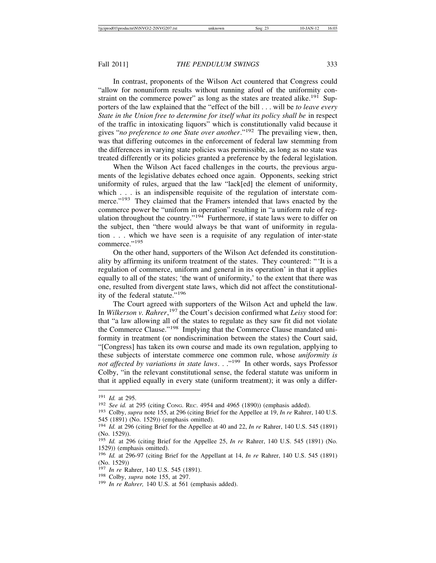In contrast, proponents of the Wilson Act countered that Congress could "allow for nonuniform results without running afoul of the uniformity constraint on the commerce power" as long as the states are treated alike.<sup>191</sup> Supporters of the law explained that the "effect of the bill . . . will be *to leave every State in the Union free to determine for itself what its policy shall be* in respect of the traffic in intoxicating liquors" which is constitutionally valid because it gives "*no preference to one State over another*."192 The prevailing view, then, was that differing outcomes in the enforcement of federal law stemming from the differences in varying state policies was permissible, as long as no state was treated differently or its policies granted a preference by the federal legislation.

When the Wilson Act faced challenges in the courts, the previous arguments of the legislative debates echoed once again. Opponents, seeking strict uniformity of rules, argued that the law "lack[ed] the element of uniformity, which . . . is an indispensible requisite of the regulation of interstate commerce."<sup>193</sup> They claimed that the Framers intended that laws enacted by the commerce power be "uniform in operation" resulting in "a uniform rule of regulation throughout the country."<sup>194</sup> Furthermore, if state laws were to differ on the subject, then "there would always be that want of uniformity in regulation . . . which we have seen is a requisite of any regulation of inter-state commerce."<sup>195</sup>

On the other hand, supporters of the Wilson Act defended its constitutionality by affirming its uniform treatment of the states. They countered: "'It is a regulation of commerce, uniform and general in its operation' in that it applies equally to all of the states; 'the want of uniformity,' to the extent that there was one, resulted from divergent state laws, which did not affect the constitutionality of the federal statute."<sup>196</sup>

The Court agreed with supporters of the Wilson Act and upheld the law. In *Wilkerson v. Rahrer*, 197 the Court's decision confirmed what *Leisy* stood for: that "a law allowing all of the states to regulate as they saw fit did not violate the Commerce Clause."198 Implying that the Commerce Clause mandated uniformity in treatment (or nondiscrimination between the states) the Court said, "[Congress] has taken its own course and made its own regulation, applying to these subjects of interstate commerce one common rule, whose *uniformity is not affected by variations in state laws*. . ."199 In other words, says Professor Colby, "in the relevant constitutional sense, the federal statute was uniform in that it applied equally in every state (uniform treatment); it was only a differ-

<sup>191</sup> *Id.* at 295. <sup>192</sup> *See id.* at 295 (citing CONG. REC. 4954 and 4965 (1890)) (emphasis added). <sup>193</sup> Colby, *supra* note 155, at 296 (citing Brief for the Appellee at 19, *In re* Rahrer, 140 U.S. 545 (1891) (No. 1529)) (emphasis omitted).

<sup>194</sup> *Id.* at 296 (citing Brief for the Appellee at 40 and 22, *In re* Rahrer, 140 U.S. 545 (1891) (No. 1529)).

<sup>195</sup> *Id.* at 296 (citing Brief for the Appellee 25, *In re* Rahrer, 140 U.S. 545 (1891) (No. 1529)) (emphasis omitted).

<sup>196</sup> *Id.* at 296-97 (citing Brief for the Appellant at 14, *In re* Rahrer, 140 U.S. 545 (1891) (No. 1529))<br><sup>197</sup> *In re* Rahrer, 140 U.S. 545 (1891).

<sup>&</sup>lt;sup>198</sup> Colby, *supra* note 155, at 297.<br><sup>199</sup> *In re Rahrer*, 140 U.S. at 561 (emphasis added).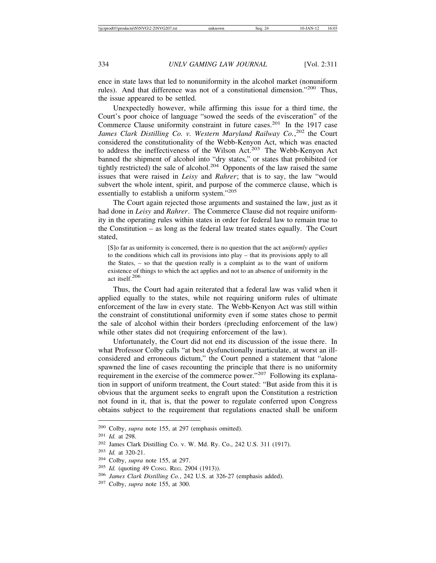ence in state laws that led to nonuniformity in the alcohol market (nonuniform rules). And that difference was not of a constitutional dimension."200 Thus, the issue appeared to be settled.

Unexpectedly however, while affirming this issue for a third time, the Court's poor choice of language "sowed the seeds of the evisceration" of the Commerce Clause uniformity constraint in future cases.201 In the 1917 case James Clark Distilling Co. v. Western Maryland Railway Co.,<sup>202</sup> the Court considered the constitutionality of the Webb-Kenyon Act, which was enacted to address the ineffectiveness of the Wilson Act.<sup>203</sup> The Webb-Kenyon Act banned the shipment of alcohol into "dry states," or states that prohibited (or tightly restricted) the sale of alcohol.<sup>204</sup> Opponents of the law raised the same issues that were raised in *Leisy* and *Rahrer*; that is to say, the law "would subvert the whole intent, spirit, and purpose of the commerce clause, which is essentially to establish a uniform system."<sup>205</sup>

The Court again rejected those arguments and sustained the law, just as it had done in *Leisy* and *Rahrer*. The Commerce Clause did not require uniformity in the operating rules within states in order for federal law to remain true to the Constitution – as long as the federal law treated states equally. The Court stated,

[S]o far as uniformity is concerned, there is no question that the act *uniformly applies* to the conditions which call its provisions into play – that its provisions apply to all the States, – so that the question really is a complaint as to the want of uniform existence of things to which the act applies and not to an absence of uniformity in the act itself.<sup>206</sup>

Thus, the Court had again reiterated that a federal law was valid when it applied equally to the states, while not requiring uniform rules of ultimate enforcement of the law in every state. The Webb-Kenyon Act was still within the constraint of constitutional uniformity even if some states chose to permit the sale of alcohol within their borders (precluding enforcement of the law) while other states did not (requiring enforcement of the law).

Unfortunately, the Court did not end its discussion of the issue there. In what Professor Colby calls "at best dysfunctionally inarticulate, at worst an illconsidered and erroneous dictum," the Court penned a statement that "alone spawned the line of cases recounting the principle that there is no uniformity requirement in the exercise of the commerce power."207 Following its explanation in support of uniform treatment, the Court stated: "But aside from this it is obvious that the argument seeks to engraft upon the Constitution a restriction not found in it, that is, that the power to regulate conferred upon Congress obtains subject to the requirement that regulations enacted shall be uniform

<sup>200</sup> Colby, *supra* note 155, at 297 (emphasis omitted).

<sup>201</sup> *Id.* at 298.

<sup>202</sup> James Clark Distilling Co. v. W. Md. Ry. Co., 242 U.S. 311 (1917).

<sup>203</sup> *Id.* at 320-21.

<sup>204</sup> Colby, *supra* note 155, at 297.

<sup>205</sup> *Id.* (quoting 49 CONG. REG. 2904 (1913)).

<sup>206</sup> *James Clark Distilling Co.*, 242 U.S. at 326-27 (emphasis added).

<sup>207</sup> Colby, *supra* note 155, at 300.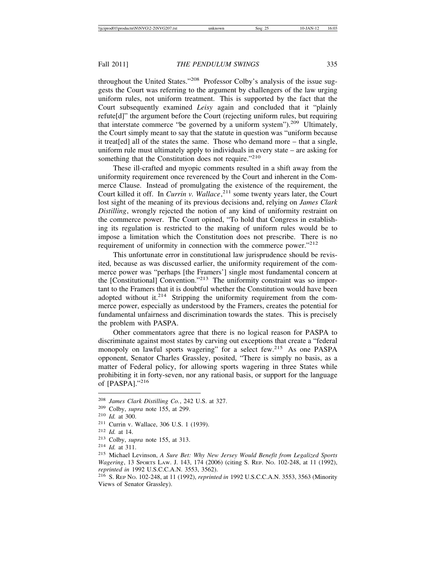throughout the United States."208 Professor Colby's analysis of the issue suggests the Court was referring to the argument by challengers of the law urging uniform rules, not uniform treatment. This is supported by the fact that the Court subsequently examined *Leisy* again and concluded that it "plainly refute[d]" the argument before the Court (rejecting uniform rules, but requiring that interstate commerce "be governed by a uniform system").<sup>209</sup> Ultimately, the Court simply meant to say that the statute in question was "uniform because it treat[ed] all of the states the same. Those who demand more – that a single, uniform rule must ultimately apply to individuals in every state – are asking for something that the Constitution does not require."<sup>210</sup>

These ill-crafted and myopic comments resulted in a shift away from the uniformity requirement once reverenced by the Court and inherent in the Commerce Clause. Instead of promulgating the existence of the requirement, the Court killed it off. In *Currin v. Wallace*, 211 some twenty years later, the Court lost sight of the meaning of its previous decisions and, relying on *James Clark Distilling*, wrongly rejected the notion of any kind of uniformity restraint on the commerce power. The Court opined, "To hold that Congress in establishing its regulation is restricted to the making of uniform rules would be to impose a limitation which the Constitution does not prescribe. There is no requirement of uniformity in connection with the commerce power."<sup>212</sup>

This unfortunate error in constitutional law jurisprudence should be revisited, because as was discussed earlier, the uniformity requirement of the commerce power was "perhaps [the Framers'] single most fundamental concern at the [Constitutional] Convention."213 The uniformity constraint was so important to the Framers that it is doubtful whether the Constitution would have been adopted without it.<sup>214</sup> Stripping the uniformity requirement from the commerce power, especially as understood by the Framers, creates the potential for fundamental unfairness and discrimination towards the states. This is precisely the problem with PASPA.

Other commentators agree that there is no logical reason for PASPA to discriminate against most states by carving out exceptions that create a "federal monopoly on lawful sports wagering" for a select few.<sup>215</sup> As one PASPA opponent, Senator Charles Grassley, posited, "There is simply no basis, as a matter of Federal policy, for allowing sports wagering in three States while prohibiting it in forty-seven, nor any rational basis, or support for the language of [PASPA]."<sup>216</sup>

<sup>208</sup> *James Clark Distilling Co.*, 242 U.S. at 327.

<sup>209</sup> Colby, *supra* note 155, at 299.

<sup>210</sup> *Id.* at 300.

<sup>211</sup> Currin v. Wallace, 306 U.S. 1 (1939).

<sup>212</sup> *Id.* at 14.

<sup>213</sup> Colby, *supra* note 155, at 313.

<sup>214</sup> *Id.* at 311.

<sup>215</sup> Michael Levinson, *A Sure Bet: Why New Jersey Would Benefit from Legalized Sports Wagering*, 13 SPORTS LAW. J. 143, 174 (2006) (citing S. REP. NO. 102-248, at 11 (1992), *reprinted in* 1992 U.S.C.C.A.N. 3553, 3562).

<sup>216</sup> S. REP NO. 102-248, at 11 (1992), *reprinted in* 1992 U.S.C.C.A.N. 3553, 3563 (Minority Views of Senator Grassley).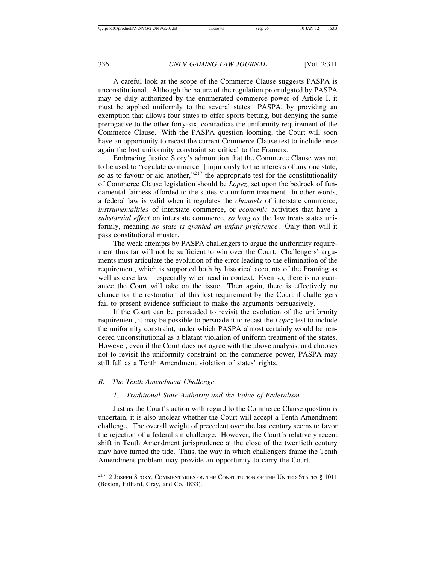A careful look at the scope of the Commerce Clause suggests PASPA is unconstitutional. Although the nature of the regulation promulgated by PASPA may be duly authorized by the enumerated commerce power of Article I, it must be applied uniformly to the several states. PASPA, by providing an exemption that allows four states to offer sports betting, but denying the same prerogative to the other forty-six, contradicts the uniformity requirement of the Commerce Clause. With the PASPA question looming, the Court will soon have an opportunity to recast the current Commerce Clause test to include once again the lost uniformity constraint so critical to the Framers.

Embracing Justice Story's admonition that the Commerce Clause was not to be used to "regulate commerce[ ] injuriously to the interests of any one state, so as to favour or aid another," $^{217}$  the appropriate test for the constitutionality of Commerce Clause legislation should be *Lopez*, set upon the bedrock of fundamental fairness afforded to the states via uniform treatment. In other words, a federal law is valid when it regulates the *channels* of interstate commerce, *instrumentalities* of interstate commerce, or *economic* activities that have a *substantial effect* on interstate commerce, *so long as* the law treats states uniformly, meaning *no state is granted an unfair preference*. Only then will it pass constitutional muster.

The weak attempts by PASPA challengers to argue the uniformity requirement thus far will not be sufficient to win over the Court. Challengers' arguments must articulate the evolution of the error leading to the elimination of the requirement, which is supported both by historical accounts of the Framing as well as case law – especially when read in context. Even so, there is no guarantee the Court will take on the issue. Then again, there is effectively no chance for the restoration of this lost requirement by the Court if challengers fail to present evidence sufficient to make the arguments persuasively.

If the Court can be persuaded to revisit the evolution of the uniformity requirement, it may be possible to persuade it to recast the *Lopez* test to include the uniformity constraint, under which PASPA almost certainly would be rendered unconstitutional as a blatant violation of uniform treatment of the states. However, even if the Court does not agree with the above analysis, and chooses not to revisit the uniformity constraint on the commerce power, PASPA may still fall as a Tenth Amendment violation of states' rights.

#### *B. The Tenth Amendment Challenge*

#### *1. Traditional State Authority and the Value of Federalism*

Just as the Court's action with regard to the Commerce Clause question is uncertain, it is also unclear whether the Court will accept a Tenth Amendment challenge. The overall weight of precedent over the last century seems to favor the rejection of a federalism challenge. However, the Court's relatively recent shift in Tenth Amendment jurisprudence at the close of the twentieth century may have turned the tide. Thus, the way in which challengers frame the Tenth Amendment problem may provide an opportunity to carry the Court.

<sup>&</sup>lt;sup>217</sup> 2 JOSEPH STORY, COMMENTARIES ON THE CONSTITUTION OF THE UNITED STATES § 1011 (Boston, Hilliard, Gray, and Co. 1833).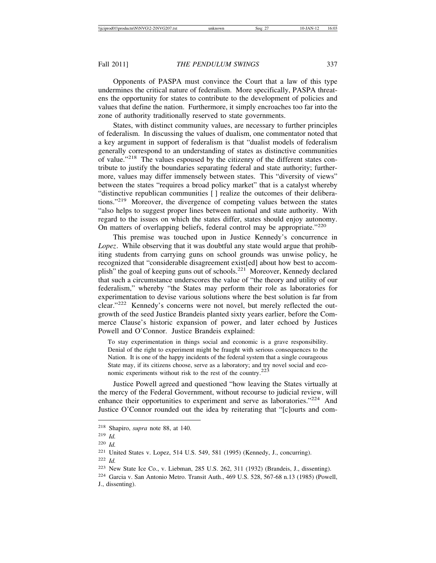Opponents of PASPA must convince the Court that a law of this type undermines the critical nature of federalism. More specifically, PASPA threatens the opportunity for states to contribute to the development of policies and values that define the nation. Furthermore, it simply encroaches too far into the zone of authority traditionally reserved to state governments.

States, with distinct community values, are necessary to further principles of federalism. In discussing the values of dualism, one commentator noted that a key argument in support of federalism is that "dualist models of federalism generally correspond to an understanding of states as distinctive communities of value."218 The values espoused by the citizenry of the different states contribute to justify the boundaries separating federal and state authority; furthermore, values may differ immensely between states. This "diversity of views" between the states "requires a broad policy market" that is a catalyst whereby "distinctive republican communities [ ] realize the outcomes of their deliberations."219 Moreover, the divergence of competing values between the states "also helps to suggest proper lines between national and state authority. With regard to the issues on which the states differ, states should enjoy autonomy. On matters of overlapping beliefs, federal control may be appropriate."<sup>220</sup>

This premise was touched upon in Justice Kennedy's concurrence in *Lopez*. While observing that it was doubtful any state would argue that prohibiting students from carrying guns on school grounds was unwise policy, he recognized that "considerable disagreement exist[ed] about how best to accomplish" the goal of keeping guns out of schools.221 Moreover, Kennedy declared that such a circumstance underscores the value of "the theory and utility of our federalism," whereby "the States may perform their role as laboratories for experimentation to devise various solutions where the best solution is far from clear."222 Kennedy's concerns were not novel, but merely reflected the outgrowth of the seed Justice Brandeis planted sixty years earlier, before the Commerce Clause's historic expansion of power, and later echoed by Justices Powell and O'Connor. Justice Brandeis explained:

To stay experimentation in things social and economic is a grave responsibility. Denial of the right to experiment might be fraught with serious consequences to the Nation. It is one of the happy incidents of the federal system that a single courageous State may, if its citizens choose, serve as a laboratory; and try novel social and economic experiments without risk to the rest of the country.<sup>22</sup>

Justice Powell agreed and questioned "how leaving the States virtually at the mercy of the Federal Government, without recourse to judicial review, will enhance their opportunities to experiment and serve as laboratories."<sup>224</sup> And Justice O'Connor rounded out the idea by reiterating that "[c]ourts and com-

<sup>218</sup> Shapiro, *supra* note 88, at 140.

<sup>219</sup> *Id.*

<sup>220</sup> *Id.*

<sup>221</sup> United States v. Lopez, 514 U.S. 549, 581 (1995) (Kennedy, J., concurring).

<sup>222</sup> *Id.*

<sup>223</sup> New State Ice Co., v. Liebman, 285 U.S. 262, 311 (1932) (Brandeis, J., dissenting).

<sup>224</sup> Garcia v. San Antonio Metro. Transit Auth., 469 U.S. 528, 567-68 n.13 (1985) (Powell, J., dissenting).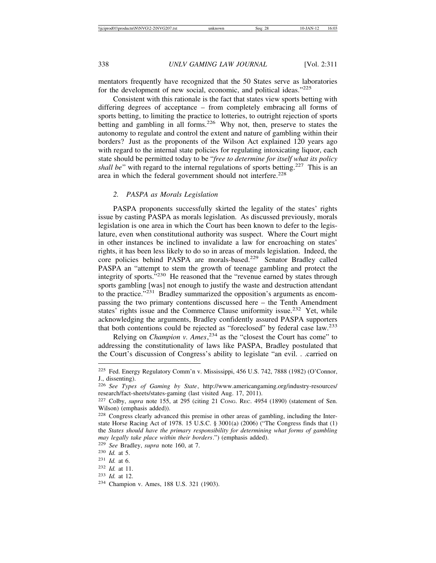mentators frequently have recognized that the 50 States serve as laboratories for the development of new social, economic, and political ideas."<sup>225</sup>

Consistent with this rationale is the fact that states view sports betting with differing degrees of acceptance – from completely embracing all forms of sports betting, to limiting the practice to lotteries, to outright rejection of sports betting and gambling in all forms.<sup>226</sup> Why not, then, preserve to states the autonomy to regulate and control the extent and nature of gambling within their borders? Just as the proponents of the Wilson Act explained 120 years ago with regard to the internal state policies for regulating intoxicating liquor, each state should be permitted today to be "*free to determine for itself what its policy shall be*" with regard to the internal regulations of sports betting.<sup>227</sup> This is an area in which the federal government should not interfere.<sup>228</sup>

# *2. PASPA as Morals Legislation*

PASPA proponents successfully skirted the legality of the states' rights issue by casting PASPA as morals legislation. As discussed previously, morals legislation is one area in which the Court has been known to defer to the legislature, even when constitutional authority was suspect. Where the Court might in other instances be inclined to invalidate a law for encroaching on states' rights, it has been less likely to do so in areas of morals legislation. Indeed, the core policies behind PASPA are morals-based.<sup>229</sup> Senator Bradley called PASPA an "attempt to stem the growth of teenage gambling and protect the integrity of sports."230 He reasoned that the "revenue earned by states through sports gambling [was] not enough to justify the waste and destruction attendant to the practice."231 Bradley summarized the opposition's arguments as encompassing the two primary contentions discussed here – the Tenth Amendment states' rights issue and the Commerce Clause uniformity issue.<sup>232</sup> Yet, while acknowledging the arguments, Bradley confidently assured PASPA supporters that both contentions could be rejected as "foreclosed" by federal case law.<sup>233</sup>

Relying on *Champion v. Ames*,<sup>234</sup> as the "closest the Court has come" to addressing the constitutionality of laws like PASPA, Bradley postulated that the Court's discussion of Congress's ability to legislate "an evil. . .carried on

<sup>229</sup> *See* Bradley, *supra* note 160, at 7.

<sup>225</sup> Fed. Energy Regulatory Comm'n v. Mississippi, 456 U.S. 742, 7888 (1982) (O'Connor, J., dissenting).

<sup>226</sup> *See Types of Gaming by State*, http://www.americangaming.org/industry-resources/ research/fact-sheets/states-gaming (last visited Aug. 17, 2011).

<sup>&</sup>lt;sup>227</sup> Colby, *supra* note 155, at 295 (citing 21 Cong. Rec. 4954 (1890) (statement of Sen. Wilson) (emphasis added)).

<sup>228</sup> Congress clearly advanced this premise in other areas of gambling, including the Interstate Horse Racing Act of 1978. 15 U.S.C.  $\S$  3001(a) (2006) ("The Congress finds that (1) the *States should have the primary responsibility for determining what forms of gambling may legally take place within their borders*.") (emphasis added).

<sup>230</sup> *Id.* at 5.

<sup>231</sup> *Id.* at 6.

<sup>232</sup> *Id.* at 11.

<sup>233</sup> *Id.* at 12.

<sup>234</sup> Champion v. Ames, 188 U.S. 321 (1903).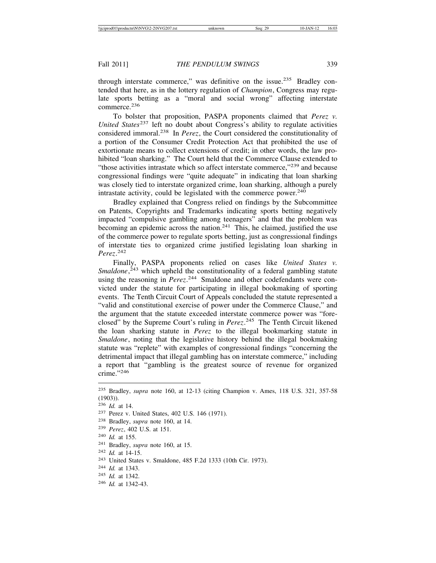through interstate commerce," was definitive on the issue.<sup>235</sup> Bradley contended that here, as in the lottery regulation of *Champion*, Congress may regulate sports betting as a "moral and social wrong" affecting interstate commerce.<sup>236</sup>

To bolster that proposition, PASPA proponents claimed that *Perez v. United States*237 left no doubt about Congress's ability to regulate activities considered immoral.238 In *Perez*, the Court considered the constitutionality of a portion of the Consumer Credit Protection Act that prohibited the use of extortionate means to collect extensions of credit; in other words, the law prohibited "loan sharking." The Court held that the Commerce Clause extended to "those activities intrastate which so affect interstate commerce,"<sup>239</sup> and because congressional findings were "quite adequate" in indicating that loan sharking was closely tied to interstate organized crime, loan sharking, although a purely intrastate activity, could be legislated with the commerce power. $240$ 

Bradley explained that Congress relied on findings by the Subcommittee on Patents, Copyrights and Trademarks indicating sports betting negatively impacted "compulsive gambling among teenagers" and that the problem was becoming an epidemic across the nation.<sup>241</sup> This, he claimed, justified the use of the commerce power to regulate sports betting, just as congressional findings of interstate ties to organized crime justified legislating loan sharking in *Perez*. 242

Finally, PASPA proponents relied on cases like *United States v.* Smaldone,<sup>243</sup> which upheld the constitutionality of a federal gambling statute using the reasoning in *Perez*. 244 Smaldone and other codefendants were convicted under the statute for participating in illegal bookmaking of sporting events. The Tenth Circuit Court of Appeals concluded the statute represented a "valid and constitutional exercise of power under the Commerce Clause," and the argument that the statute exceeded interstate commerce power was "foreclosed" by the Supreme Court's ruling in *Perez*. 245 The Tenth Circuit likened the loan sharking statute in *Perez* to the illegal bookmarking statute in *Smaldone*, noting that the legislative history behind the illegal bookmaking statute was "replete" with examples of congressional findings "concerning the detrimental impact that illegal gambling has on interstate commerce," including a report that "gambling is the greatest source of revenue for organized crime."<sup>246</sup>

<sup>235</sup> Bradley, *supra* note 160, at 12-13 (citing Champion v. Ames, 118 U.S. 321, 357-58  $(1903)$ .

<sup>236</sup> *Id.* at 14.

<sup>237</sup> Perez v. United States, 402 U.S. 146 (1971).

<sup>238</sup> Bradley, *supra* note 160, at 14.

<sup>239</sup> *Perez*, 402 U.S. at 151.

<sup>240</sup> *Id.* at 155.

<sup>241</sup> Bradley, *supra* note 160, at 15.

<sup>242</sup> *Id.* at 14-15.

<sup>243</sup> United States v. Smaldone, 485 F.2d 1333 (10th Cir. 1973).

<sup>244</sup> *Id.* at 1343.

<sup>245</sup> *Id.* at 1342.

<sup>246</sup> *Id.* at 1342-43.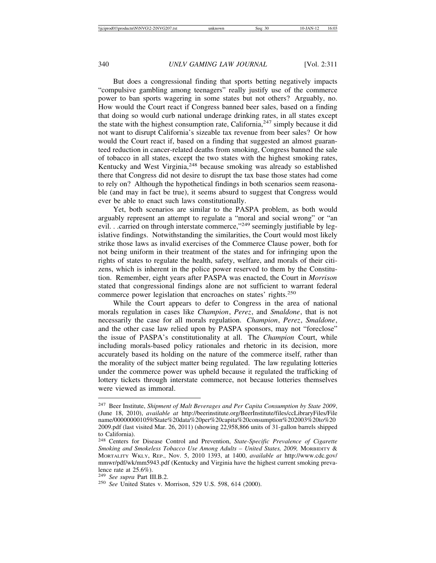But does a congressional finding that sports betting negatively impacts "compulsive gambling among teenagers" really justify use of the commerce power to ban sports wagering in some states but not others? Arguably, no. How would the Court react if Congress banned beer sales, based on a finding that doing so would curb national underage drinking rates, in all states except the state with the highest consumption rate, California,  $247$  simply because it did not want to disrupt California's sizeable tax revenue from beer sales? Or how would the Court react if, based on a finding that suggested an almost guaranteed reduction in cancer-related deaths from smoking, Congress banned the sale of tobacco in all states, except the two states with the highest smoking rates, Kentucky and West Virginia, $248$  because smoking was already so established there that Congress did not desire to disrupt the tax base those states had come to rely on? Although the hypothetical findings in both scenarios seem reasonable (and may in fact be true), it seems absurd to suggest that Congress would ever be able to enact such laws constitutionally.

Yet, both scenarios are similar to the PASPA problem, as both would arguably represent an attempt to regulate a "moral and social wrong" or "an evil. . .carried on through interstate commerce,"<sup>249</sup> seemingly justifiable by legislative findings. Notwithstanding the similarities, the Court would most likely strike those laws as invalid exercises of the Commerce Clause power, both for not being uniform in their treatment of the states and for infringing upon the rights of states to regulate the health, safety, welfare, and morals of their citizens, which is inherent in the police power reserved to them by the Constitution. Remember, eight years after PASPA was enacted, the Court in *Morrison* stated that congressional findings alone are not sufficient to warrant federal commerce power legislation that encroaches on states' rights.<sup>250</sup>

While the Court appears to defer to Congress in the area of national morals regulation in cases like *Champion*, *Perez*, and *Smaldone*, that is not necessarily the case for all morals regulation. *Champion*, *Perez*, *Smaldone*, and the other case law relied upon by PASPA sponsors, may not "foreclose" the issue of PASPA's constitutionality at all. The *Champion* Court, while including morals-based policy rationales and rhetoric in its decision, more accurately based its holding on the nature of the commerce itself, rather than the morality of the subject matter being regulated. The law regulating lotteries under the commerce power was upheld because it regulated the trafficking of lottery tickets through interstate commerce, not because lotteries themselves were viewed as immoral.

<sup>247</sup> Beer Institute, *Shipment of Malt Beverages and Per Capita Consumption by State 2009*, (June 18, 2010), *available at* http://beerinstitute.org/BeerInstitute/files/ccLibraryFiles/File name/000000001059/State%20data%20per%20capita%20consumption%202003%20to%20 2009.pdf (last visited Mar. 26, 2011) (showing 22,958,866 units of 31-gallon barrels shipped to California).

<sup>248</sup> Centers for Disease Control and Prevention, *State-Specific Prevalence of Cigarette Smoking and Smokeless Tobacco Use Among Adults – United States, 2009,* MORBIDITY & MORTALITY WKLY, REP., Nov. 5, 2010 1393, at 1400, *available at* http://www.cdc.gov/ mmwr/pdf/wk/mm5943.pdf (Kentucky and Virginia have the highest current smoking prevalence rate at  $25.6\%$ ).<br><sup>249</sup> *See supra* Part III.B.2.

<sup>&</sup>lt;sup>250</sup> *See* United States v. Morrison, 529 U.S. 598, 614 (2000).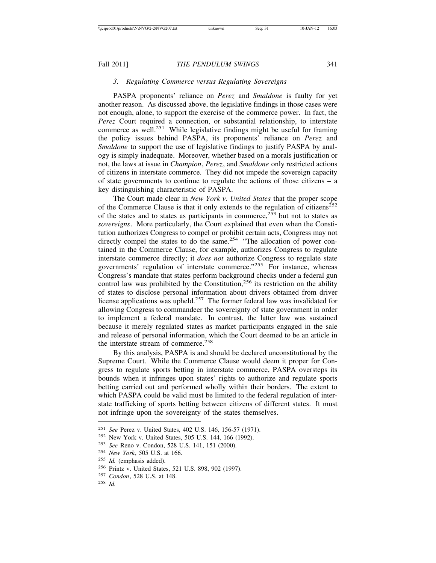# *3. Regulating Commerce versus Regulating Sovereigns*

PASPA proponents' reliance on *Perez* and *Smaldone* is faulty for yet another reason. As discussed above, the legislative findings in those cases were not enough, alone, to support the exercise of the commerce power. In fact, the *Perez* Court required a connection, or substantial relationship, to interstate commerce as well.<sup>251</sup> While legislative findings might be useful for framing the policy issues behind PASPA, its proponents' reliance on *Perez* and *Smaldone* to support the use of legislative findings to justify PASPA by analogy is simply inadequate. Moreover, whether based on a morals justification or not, the laws at issue in *Champion*, *Perez*, and *Smaldone* only restricted actions of citizens in interstate commerce. They did not impede the sovereign capacity of state governments to continue to regulate the actions of those citizens – a key distinguishing characteristic of PASPA.

The Court made clear in *New York v. United States* that the proper scope of the Commerce Clause is that it only extends to the regulation of citizens<sup>252</sup> of the states and to states as participants in commerce,  $2\overline{53}$  but not to states as *sovereigns*. More particularly, the Court explained that even when the Constitution authorizes Congress to compel or prohibit certain acts, Congress may not directly compel the states to do the same.<sup>254</sup> "The allocation of power contained in the Commerce Clause, for example, authorizes Congress to regulate interstate commerce directly; it *does not* authorize Congress to regulate state governments' regulation of interstate commerce."255 For instance, whereas Congress's mandate that states perform background checks under a federal gun control law was prohibited by the Constitution,<sup>256</sup> its restriction on the ability of states to disclose personal information about drivers obtained from driver license applications was upheld.<sup>257</sup> The former federal law was invalidated for allowing Congress to commandeer the sovereignty of state government in order to implement a federal mandate. In contrast, the latter law was sustained because it merely regulated states as market participants engaged in the sale and release of personal information, which the Court deemed to be an article in the interstate stream of commerce.<sup>258</sup>

By this analysis, PASPA is and should be declared unconstitutional by the Supreme Court. While the Commerce Clause would deem it proper for Congress to regulate sports betting in interstate commerce, PASPA oversteps its bounds when it infringes upon states' rights to authorize and regulate sports betting carried out and performed wholly within their borders. The extent to which PASPA could be valid must be limited to the federal regulation of interstate trafficking of sports betting between citizens of different states. It must not infringe upon the sovereignty of the states themselves.

<sup>251</sup> *See* Perez v. United States, 402 U.S. 146, 156-57 (1971).

<sup>252</sup> New York v. United States, 505 U.S. 144, 166 (1992).

<sup>253</sup> *See* Reno v. Condon, 528 U.S. 141, 151 (2000).

<sup>254</sup> *New York*, 505 U.S. at 166.

<sup>255</sup> *Id.* (emphasis added).

<sup>256</sup> Printz v. United States, 521 U.S. 898, 902 (1997).

<sup>257</sup> *Condon*, 528 U.S. at 148.

<sup>258</sup> *Id.*